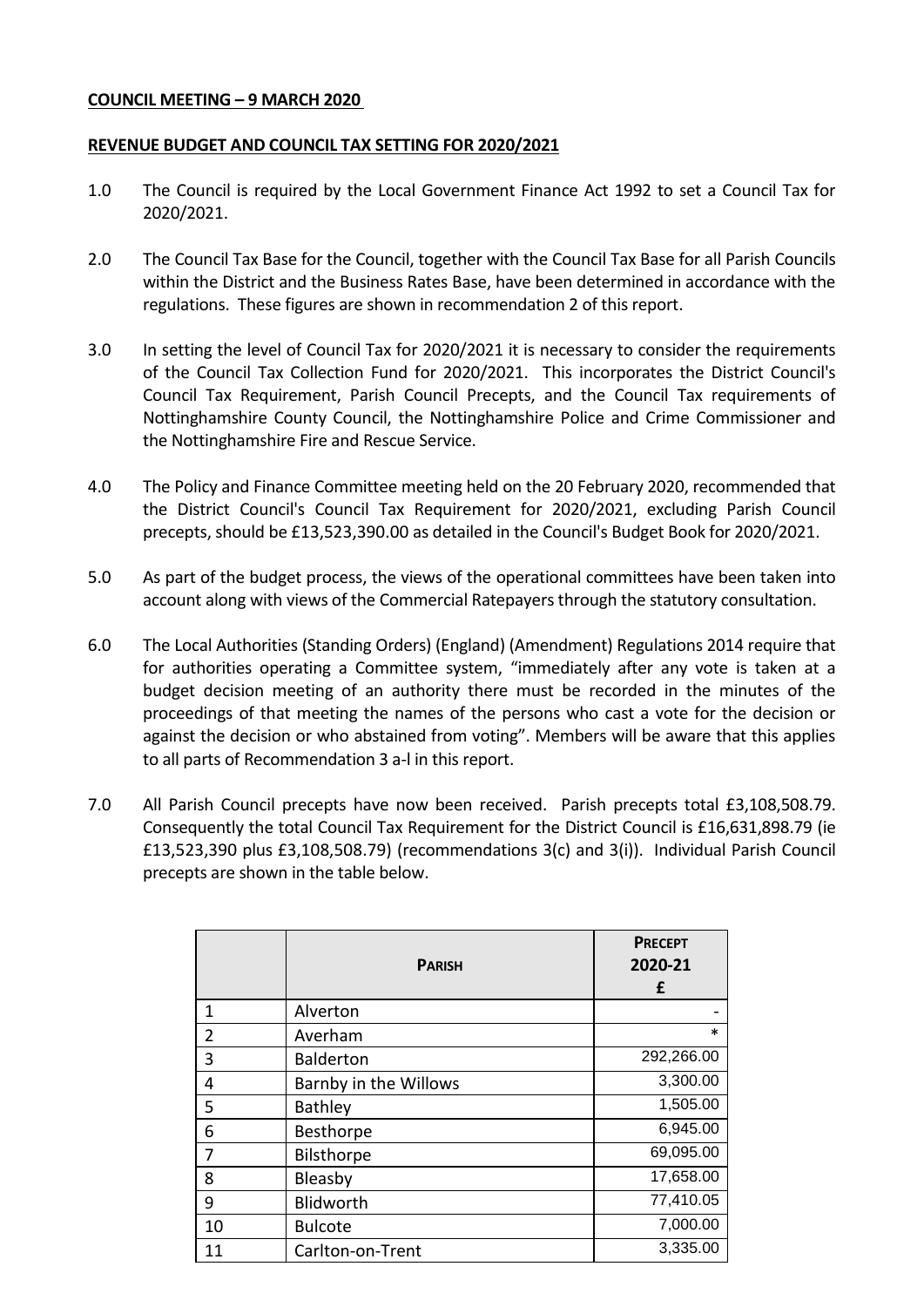### **COUNCIL MEETING – 9 MARCH 2020**

### **REVENUE BUDGET AND COUNCIL TAX SETTING FOR 2020/2021**

- 1.0 The Council is required by the Local Government Finance Act 1992 to set a Council Tax for 2020/2021.
- 2.0 The Council Tax Base for the Council, together with the Council Tax Base for all Parish Councils within the District and the Business Rates Base, have been determined in accordance with the regulations. These figures are shown in recommendation 2 of this report.
- 3.0 In setting the level of Council Tax for 2020/2021 it is necessary to consider the requirements of the Council Tax Collection Fund for 2020/2021. This incorporates the District Council's Council Tax Requirement, Parish Council Precepts, and the Council Tax requirements of Nottinghamshire County Council, the Nottinghamshire Police and Crime Commissioner and the Nottinghamshire Fire and Rescue Service.
- 4.0 The Policy and Finance Committee meeting held on the 20 February 2020, recommended that the District Council's Council Tax Requirement for 2020/2021, excluding Parish Council precepts, should be £13,523,390.00 as detailed in the Council's Budget Book for 2020/2021.
- 5.0 As part of the budget process, the views of the operational committees have been taken into account along with views of the Commercial Ratepayers through the statutory consultation.
- 6.0 The Local Authorities (Standing Orders) (England) (Amendment) Regulations 2014 require that for authorities operating a Committee system, "immediately after any vote is taken at a budget decision meeting of an authority there must be recorded in the minutes of the proceedings of that meeting the names of the persons who cast a vote for the decision or against the decision or who abstained from voting". Members will be aware that this applies to all parts of Recommendation 3 a-l in this report.
- 7.0 All Parish Council precepts have now been received. Parish precepts total £3,108,508.79. Consequently the total Council Tax Requirement for the District Council is £16,631,898.79 (ie £13,523,390 plus £3,108,508.79) (recommendations 3(c) and 3(i)). Individual Parish Council precepts are shown in the table below.

|    | <b>PARISH</b>         | <b>PRECEPT</b><br>2020-21<br>£ |
|----|-----------------------|--------------------------------|
| 1  | Alverton              |                                |
| 2  | Averham               | *                              |
| 3  | <b>Balderton</b>      | 292,266.00                     |
| 4  | Barnby in the Willows | 3,300.00                       |
| 5  | <b>Bathley</b>        | 1,505.00                       |
| 6  | Besthorpe             | 6,945.00                       |
| 7  | Bilsthorpe            | 69,095.00                      |
| 8  | Bleasby               | 17,658.00                      |
| 9  | Blidworth             | 77,410.05                      |
| 10 | <b>Bulcote</b>        | 7,000.00                       |
| 11 | Carlton-on-Trent      | 3,335.00                       |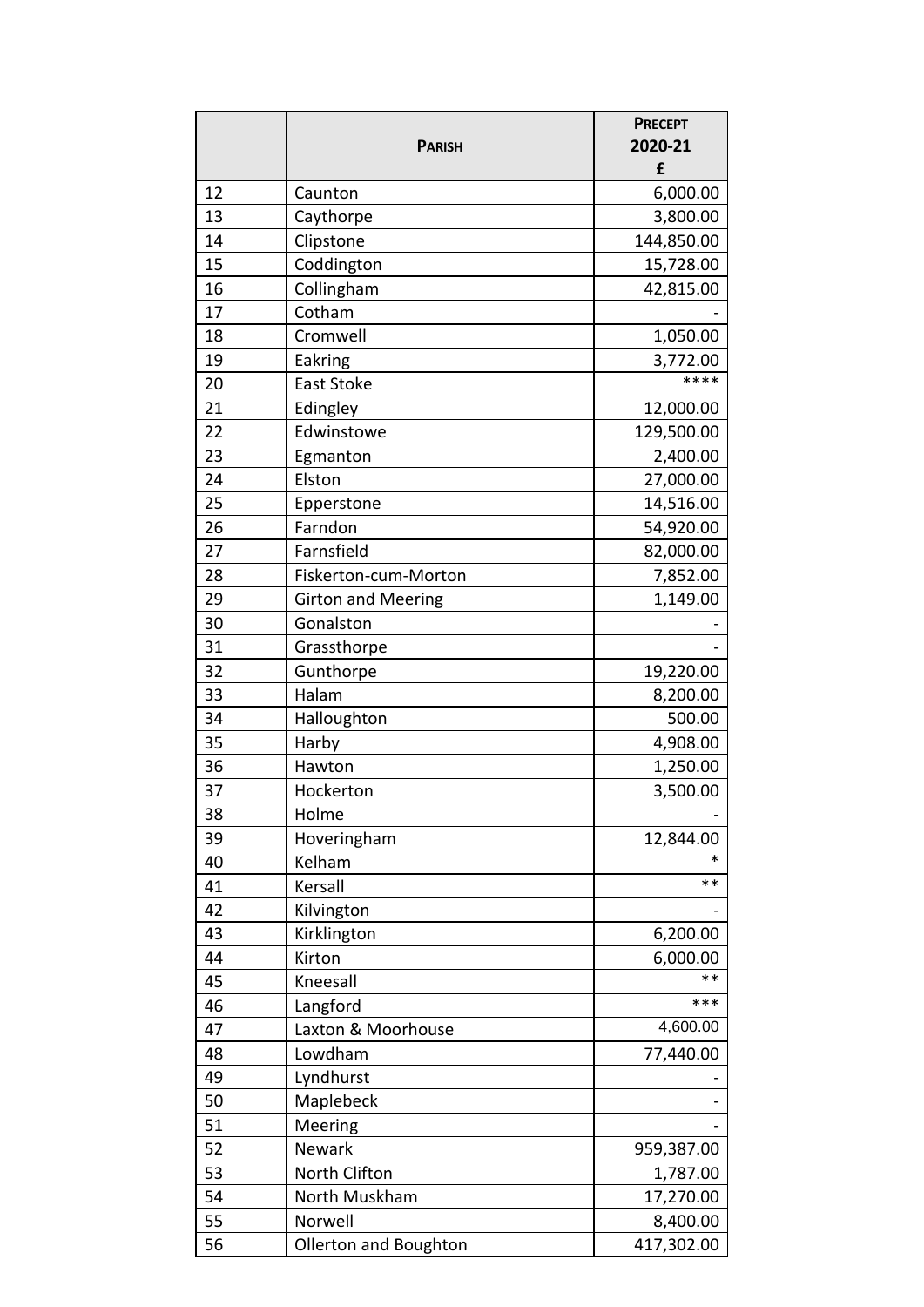|    |                           | <b>PRECEPT</b>   |
|----|---------------------------|------------------|
|    | <b>PARISH</b>             | 2020-21          |
|    |                           | £                |
| 12 | Caunton                   | 6,000.00         |
| 13 | Caythorpe                 | 3,800.00         |
| 14 | Clipstone                 | 144,850.00       |
| 15 | Coddington                | 15,728.00        |
| 16 | Collingham                | 42,815.00        |
| 17 | Cotham                    |                  |
| 18 | Cromwell                  | 1,050.00         |
| 19 | Eakring                   | 3,772.00<br>**** |
| 20 | <b>East Stoke</b>         |                  |
| 21 | Edingley                  | 12,000.00        |
| 22 | Edwinstowe                | 129,500.00       |
| 23 | Egmanton                  | 2,400.00         |
| 24 | Elston                    | 27,000.00        |
| 25 | Epperstone                | 14,516.00        |
| 26 | Farndon                   | 54,920.00        |
| 27 | Farnsfield                | 82,000.00        |
| 28 | Fiskerton-cum-Morton      | 7,852.00         |
| 29 | <b>Girton and Meering</b> | 1,149.00         |
| 30 | Gonalston                 |                  |
| 31 | Grassthorpe               |                  |
| 32 | Gunthorpe                 | 19,220.00        |
| 33 | Halam                     | 8,200.00         |
| 34 | Halloughton               | 500.00           |
| 35 | Harby                     | 4,908.00         |
| 36 | Hawton                    | 1,250.00         |
| 37 | Hockerton                 | 3,500.00         |
| 38 | Holme                     |                  |
| 39 | Hoveringham               | 12,844.00        |
| 40 | Kelham                    | ∗                |
| 41 | Kersall                   | **               |
| 42 | Kilvington                |                  |
| 43 | Kirklington               | 6,200.00         |
| 44 | Kirton                    | 6,000.00         |
| 45 | Kneesall                  | **               |
| 46 | Langford                  | ***              |
| 47 | Laxton & Moorhouse        | 4,600.00         |
| 48 | Lowdham                   | 77,440.00        |
| 49 | Lyndhurst                 |                  |
| 50 | Maplebeck                 |                  |
| 51 | Meering                   |                  |
| 52 | <b>Newark</b>             | 959,387.00       |
| 53 | North Clifton             | 1,787.00         |
| 54 | North Muskham             | 17,270.00        |
| 55 | Norwell                   | 8,400.00         |
| 56 | Ollerton and Boughton     | 417,302.00       |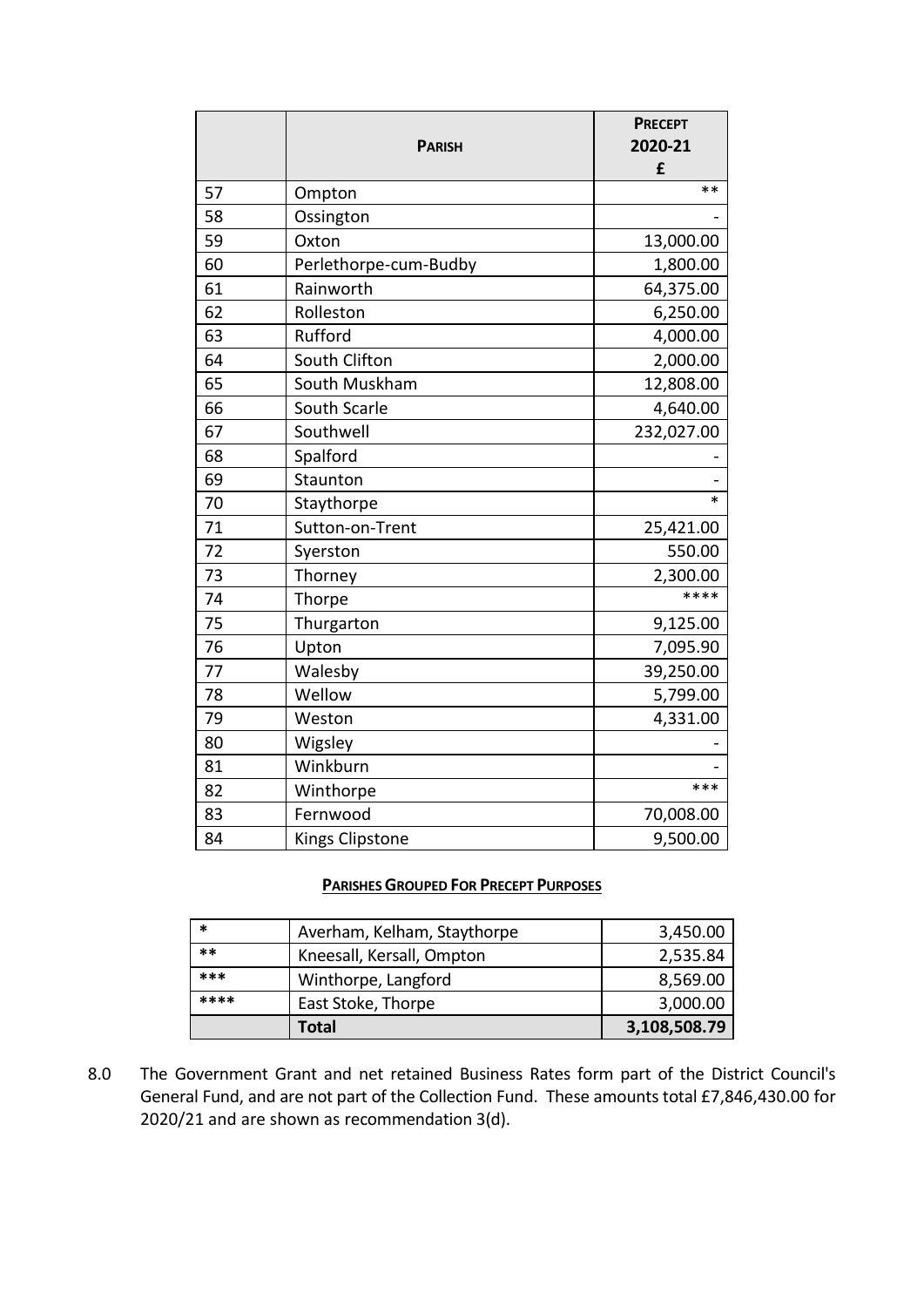|    |                        | <b>PRECEPT</b> |
|----|------------------------|----------------|
|    | <b>PARISH</b>          | 2020-21        |
|    |                        | £              |
| 57 | Ompton                 | $**$           |
| 58 | Ossington              |                |
| 59 | Oxton                  | 13,000.00      |
| 60 | Perlethorpe-cum-Budby  | 1,800.00       |
| 61 | Rainworth              | 64,375.00      |
| 62 | Rolleston              | 6,250.00       |
| 63 | Rufford                | 4,000.00       |
| 64 | South Clifton          | 2,000.00       |
| 65 | South Muskham          | 12,808.00      |
| 66 | South Scarle           | 4,640.00       |
| 67 | Southwell              | 232,027.00     |
| 68 | Spalford               |                |
| 69 | Staunton               |                |
| 70 | Staythorpe             | $\ast$         |
| 71 | Sutton-on-Trent        | 25,421.00      |
| 72 | Syerston               | 550.00         |
| 73 | Thorney                | 2,300.00       |
| 74 | Thorpe                 | ****           |
| 75 | Thurgarton             | 9,125.00       |
| 76 | Upton                  | 7,095.90       |
| 77 | Walesby                | 39,250.00      |
| 78 | Wellow                 | 5,799.00       |
| 79 | Weston                 | 4,331.00       |
| 80 | Wigsley                |                |
| 81 | Winkburn               |                |
| 82 | Winthorpe              | ***            |
| 83 | Fernwood               | 70,008.00      |
| 84 | <b>Kings Clipstone</b> | 9,500.00       |

## **PARISHES GROUPED FOR PRECEPT PURPOSES**

| *    | Averham, Kelham, Staythorpe | 3,450.00     |
|------|-----------------------------|--------------|
| **   | Kneesall, Kersall, Ompton   | 2,535.84     |
| ***  | Winthorpe, Langford         | 8,569.00     |
| **** | East Stoke, Thorpe          | 3,000.00     |
|      | Total                       | 3,108,508.79 |

8.0 The Government Grant and net retained Business Rates form part of the District Council's General Fund, and are not part of the Collection Fund. These amounts total £7,846,430.00 for 2020/21 and are shown as recommendation 3(d).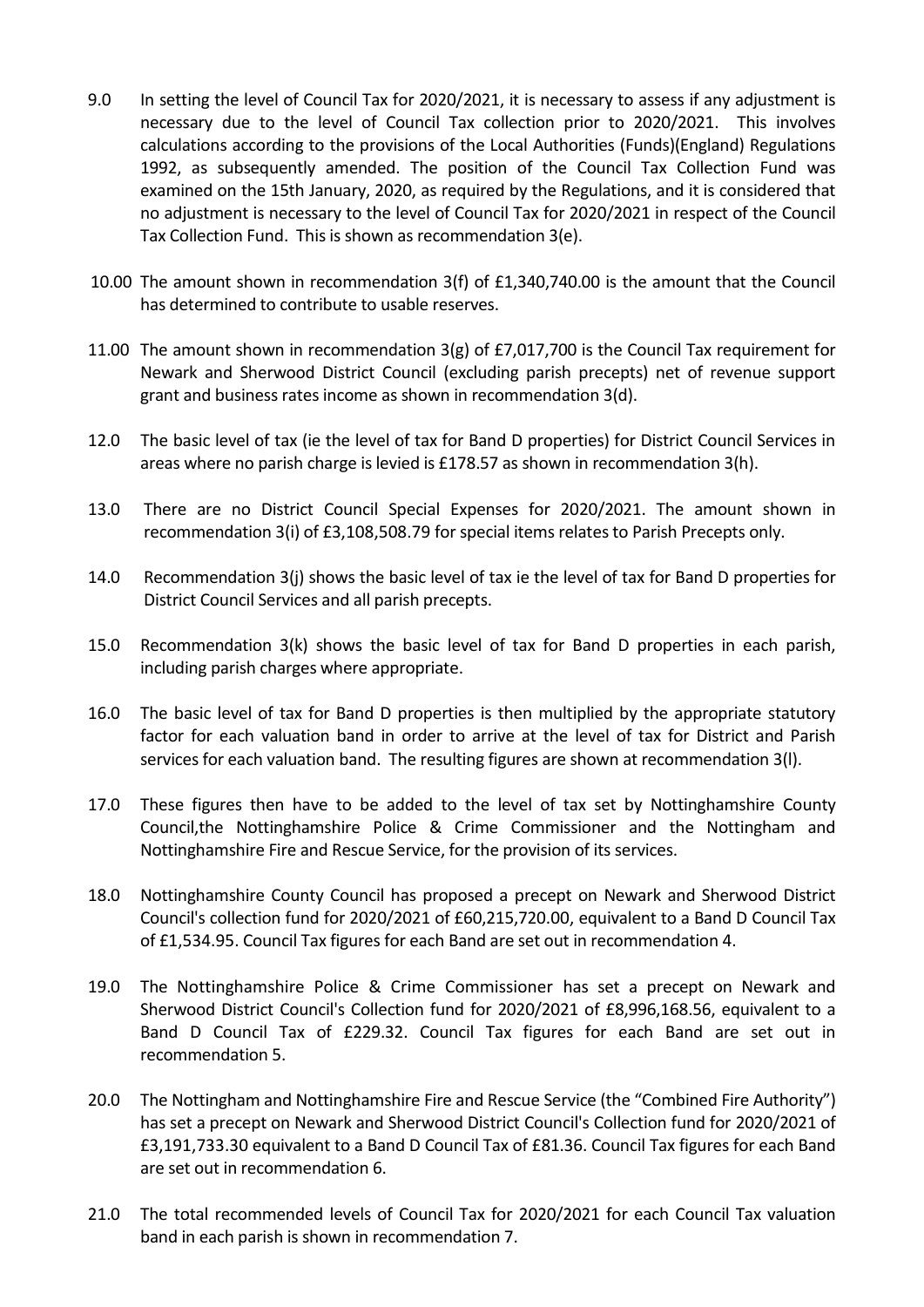- 9.0 In setting the level of Council Tax for 2020/2021, it is necessary to assess if any adjustment is necessary due to the level of Council Tax collection prior to 2020/2021. This involves calculations according to the provisions of the Local Authorities (Funds)(England) Regulations 1992, as subsequently amended. The position of the Council Tax Collection Fund was examined on the 15th January, 2020, as required by the Regulations, and it is considered that no adjustment is necessary to the level of Council Tax for 2020/2021 in respect of the Council Tax Collection Fund. This is shown as recommendation 3(e).
- 10.00 The amount shown in recommendation 3(f) of £1,340,740.00 is the amount that the Council has determined to contribute to usable reserves.
- 11.00 The amount shown in recommendation 3(g) of £7,017,700 is the Council Tax requirement for Newark and Sherwood District Council (excluding parish precepts) net of revenue support grant and business rates income as shown in recommendation 3(d).
- 12.0 The basic level of tax (ie the level of tax for Band D properties) for District Council Services in areas where no parish charge is levied is £178.57 as shown in recommendation 3(h).
- 13.0 There are no District Council Special Expenses for 2020/2021. The amount shown in recommendation 3(i) of £3,108,508.79 for special items relates to Parish Precepts only.
- 14.0 Recommendation 3(j) shows the basic level of tax ie the level of tax for Band D properties for District Council Services and all parish precepts.
- 15.0 Recommendation 3(k) shows the basic level of tax for Band D properties in each parish, including parish charges where appropriate.
- 16.0 The basic level of tax for Band D properties is then multiplied by the appropriate statutory factor for each valuation band in order to arrive at the level of tax for District and Parish services for each valuation band. The resulting figures are shown at recommendation 3(l).
- 17.0 These figures then have to be added to the level of tax set by Nottinghamshire County Council,the Nottinghamshire Police & Crime Commissioner and the Nottingham and Nottinghamshire Fire and Rescue Service, for the provision of its services.
- 18.0 Nottinghamshire County Council has proposed a precept on Newark and Sherwood District Council's collection fund for 2020/2021 of £60,215,720.00, equivalent to a Band D Council Tax of £1,534.95. Council Tax figures for each Band are set out in recommendation 4.
- 19.0 The Nottinghamshire Police & Crime Commissioner has set a precept on Newark and Sherwood District Council's Collection fund for 2020/2021 of £8,996,168.56, equivalent to a Band D Council Tax of £229.32. Council Tax figures for each Band are set out in recommendation 5.
- 20.0 The Nottingham and Nottinghamshire Fire and Rescue Service (the "Combined Fire Authority") has set a precept on Newark and Sherwood District Council's Collection fund for 2020/2021 of £3,191,733.30 equivalent to a Band D Council Tax of £81.36. Council Tax figures for each Band are set out in recommendation 6.
- 21.0 The total recommended levels of Council Tax for 2020/2021 for each Council Tax valuation band in each parish is shown in recommendation 7.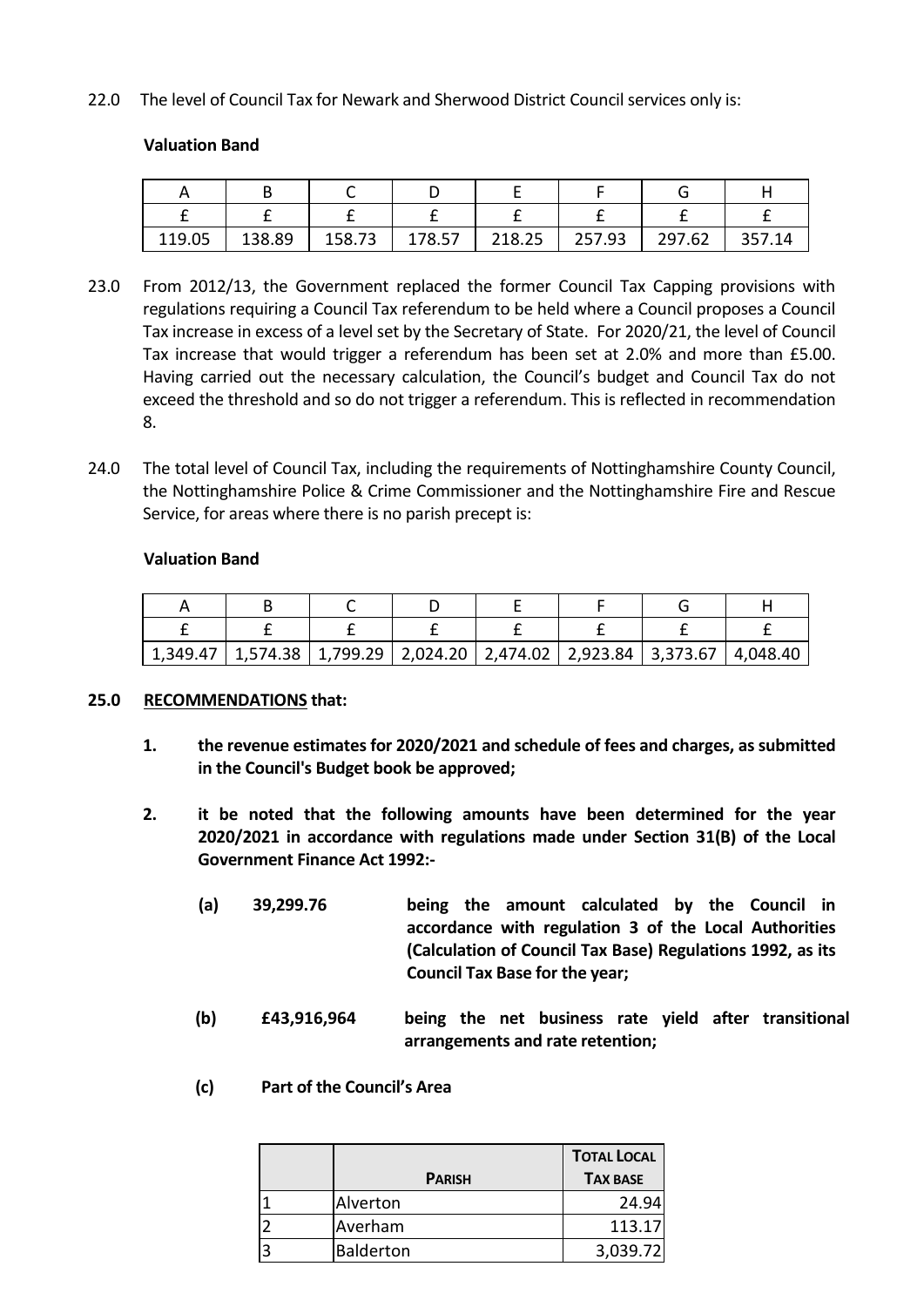22.0 The level of Council Tax for Newark and Sherwood District Council services only is:

# **Valuation Band**

| 119.05 | 138.89 | 158.73 | 178.57 | 218.25 | 257.93 | 297.62 | 357.14 |
|--------|--------|--------|--------|--------|--------|--------|--------|

- 23.0 From 2012/13, the Government replaced the former Council Tax Capping provisions with regulations requiring a Council Tax referendum to be held where a Council proposes a Council Tax increase in excess of a level set by the Secretary of State. For 2020/21, the level of Council Tax increase that would trigger a referendum has been set at 2.0% and more than £5.00. Having carried out the necessary calculation, the Council's budget and Council Tax do not exceed the threshold and so do not trigger a referendum. This is reflected in recommendation 8.
- 24.0 The total level of Council Tax, including the requirements of Nottinghamshire County Council, the Nottinghamshire Police & Crime Commissioner and the Nottinghamshire Fire and Rescue Service, for areas where there is no parish precept is:

## **Valuation Band**

| $1,349.47$   1,574.38   1,799.29   2,024.20   2,474.02   2,923.84   3,373.67   4,048.40 |  |  |  |
|-----------------------------------------------------------------------------------------|--|--|--|

#### **25.0 RECOMMENDATIONS that:**

- **1. the revenue estimates for 2020/2021 and schedule of fees and charges, as submitted in the Council's Budget book be approved;**
- **2. it be noted that the following amounts have been determined for the year 2020/2021 in accordance with regulations made under Section 31(B) of the Local Government Finance Act 1992:-**
	- **(a) 39,299.76 being the amount calculated by the Council in accordance with regulation 3 of the Local Authorities (Calculation of Council Tax Base) Regulations 1992, as its Council Tax Base for the year;**
	- **(b) £43,916,964 being the net business rate yield after transitional arrangements and rate retention;**
	- **(c) Part of the Council's Area**

|               | <b>TOTAL LOCAL</b> |
|---------------|--------------------|
| <b>PARISH</b> | <b>TAX BASE</b>    |
| Alverton      | 24.94              |
| Averham       | 113.17             |
| Balderton     | 3,039.72           |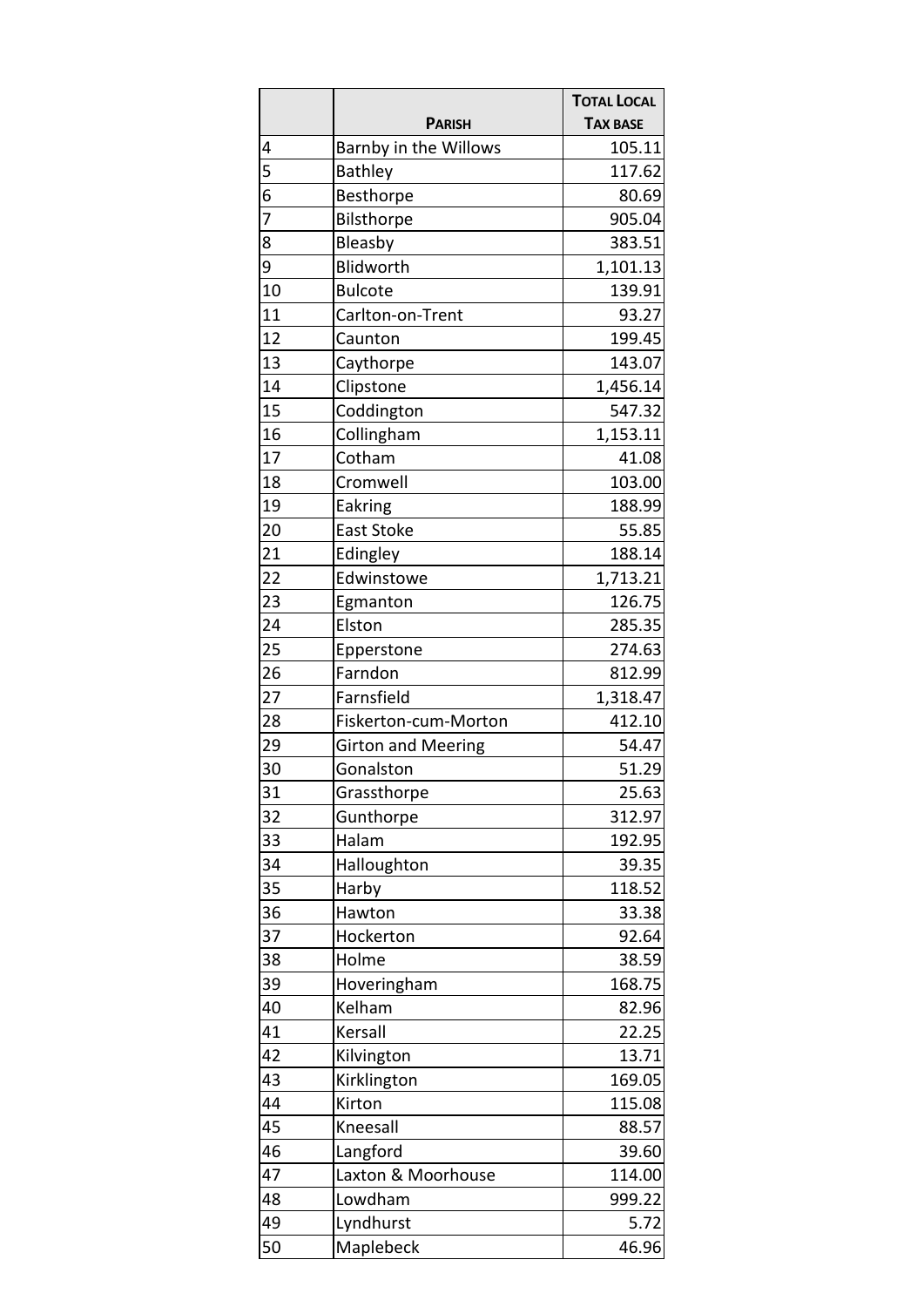|                |                           | <b>TOTAL LOCAL</b> |
|----------------|---------------------------|--------------------|
|                | <b>PARISH</b>             | <b>TAX BASE</b>    |
| 4              | Barnby in the Willows     | 105.11             |
| 5              | <b>Bathley</b>            | 117.62             |
| 6              | Besthorpe                 | 80.69              |
| $\overline{7}$ | Bilsthorpe                | 905.04             |
| 8              | Bleasby                   | 383.51             |
| 9              | Blidworth                 | 1,101.13           |
| 10             | <b>Bulcote</b>            | 139.91             |
| 11             | Carlton-on-Trent          | 93.27              |
| 12             | Caunton                   | 199.45             |
| 13             | Caythorpe                 | 143.07             |
| 14             | Clipstone                 | 1,456.14           |
| 15             | Coddington                | 547.32             |
| 16             | Collingham                | 1,153.11           |
| 17             | Cotham                    | 41.08              |
| 18             | Cromwell                  | 103.00             |
| 19             | Eakring                   | 188.99             |
| 20             | <b>East Stoke</b>         | 55.85              |
| 21             | Edingley                  | 188.14             |
| 22             | Edwinstowe                | 1,713.21           |
| 23             | Egmanton                  | 126.75             |
| 24             | Elston                    | 285.35             |
| 25             | Epperstone                | 274.63             |
| 26             | Farndon                   | 812.99             |
| 27             | Farnsfield                | 1,318.47           |
| 28             | Fiskerton-cum-Morton      | 412.10             |
| 29             | <b>Girton and Meering</b> | 54.47              |
| 30             | Gonalston                 | 51.29              |
| 31             | Grassthorpe               | 25.63              |
| 32             | Gunthorpe                 | 312.97             |
| 33             | Halam                     | 192.95             |
| 34             | Halloughton               | 39.35              |
| 35             | Harby                     | 118.52             |
| 36             | Hawton                    | 33.38              |
| 37             | Hockerton                 | 92.64              |
| 38             | Holme                     | 38.59              |
| 39             | Hoveringham               | 168.75             |
| 40             | Kelham                    | 82.96              |
| 41             | Kersall                   | 22.25              |
| 42             | Kilvington                | 13.71              |
| 43             | Kirklington               | 169.05             |
| 44             | Kirton                    | 115.08             |
| 45             | Kneesall                  | 88.57              |
| 46             | Langford                  | 39.60              |
| 47             | Laxton & Moorhouse        | 114.00             |
| 48             | Lowdham                   | 999.22             |
| 49             | Lyndhurst                 | 5.72               |
| 50             | Maplebeck                 | 46.96              |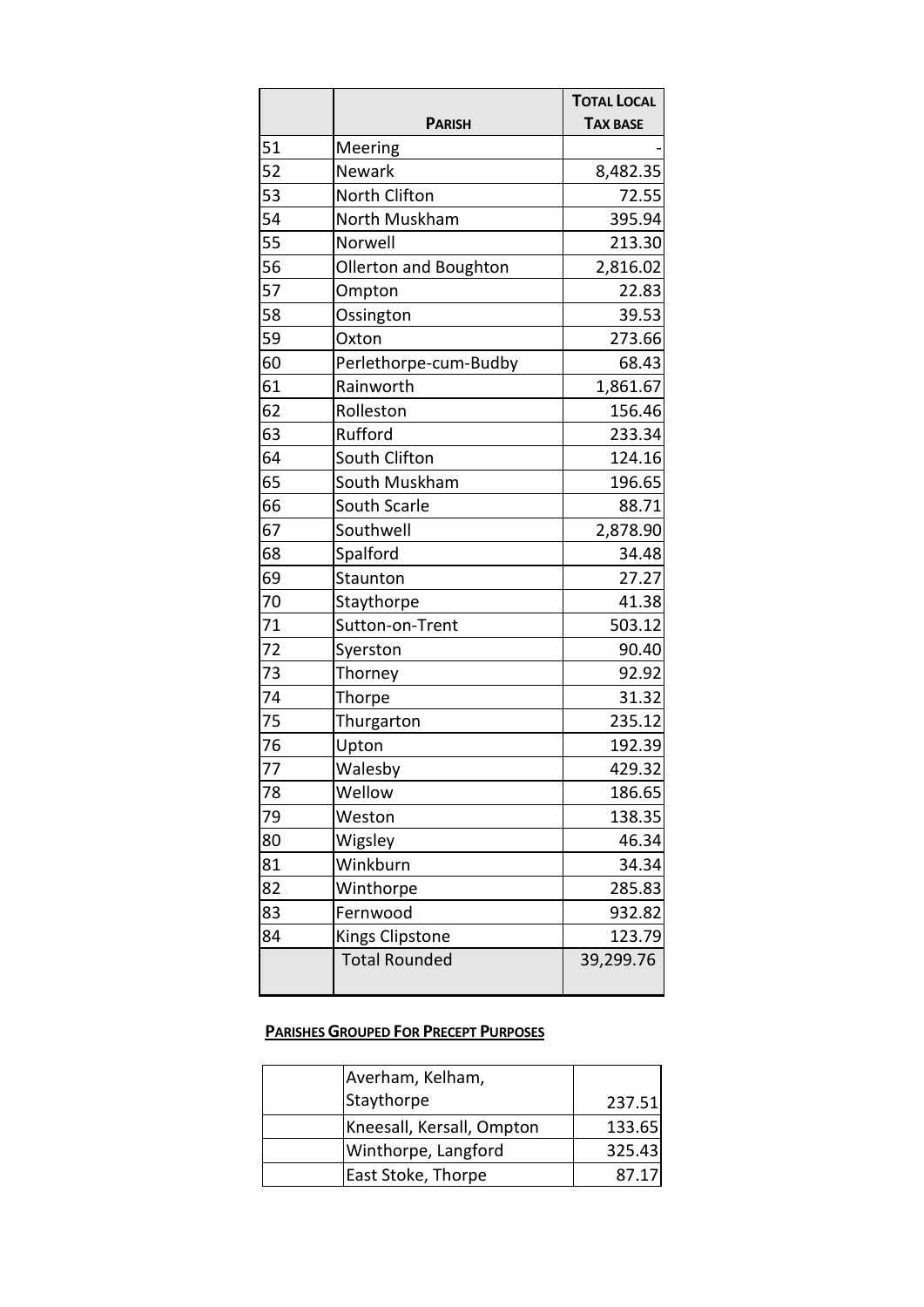|    |                              | <b>TOTAL LOCAL</b> |
|----|------------------------------|--------------------|
|    | <b>PARISH</b>                | <b>TAX BASE</b>    |
| 51 | Meering                      |                    |
| 52 | Newark                       | 8,482.35           |
| 53 | North Clifton                | 72.55              |
| 54 | North Muskham                | 395.94             |
| 55 | Norwell                      | 213.30             |
| 56 | <b>Ollerton and Boughton</b> | 2,816.02           |
| 57 | Ompton                       | 22.83              |
| 58 | Ossington                    | 39.53              |
| 59 | Oxton                        | 273.66             |
| 60 | Perlethorpe-cum-Budby        | 68.43              |
| 61 | Rainworth                    | 1,861.67           |
| 62 | Rolleston                    | 156.46             |
| 63 | Rufford                      | 233.34             |
| 64 | South Clifton                | 124.16             |
| 65 | South Muskham                | 196.65             |
| 66 | South Scarle                 | 88.71              |
| 67 | Southwell                    | 2,878.90           |
| 68 | Spalford                     | 34.48              |
| 69 | Staunton                     | 27.27              |
| 70 | Staythorpe                   | 41.38              |
| 71 | Sutton-on-Trent              | 503.12             |
| 72 | Syerston                     | 90.40              |
| 73 | Thorney                      | 92.92              |
| 74 | Thorpe                       | 31.32              |
| 75 | Thurgarton                   | 235.12             |
| 76 | Upton                        | 192.39             |
| 77 | Walesby                      | 429.32             |
| 78 | Wellow                       | 186.65             |
| 79 | Weston                       | 138.35             |
| 80 | Wigsley                      | 46.34              |
| 81 | Winkburn                     | 34.34              |
| 82 | Winthorpe                    | 285.83             |
| 83 | Fernwood                     | 932.82             |
| 84 | Kings Clipstone              | 123.79             |
|    | <b>Total Rounded</b>         | 39,299.76          |

# **PARISHES GROUPED FOR PRECEPT PURPOSES**

| Averham, Kelham,          |        |
|---------------------------|--------|
| Staythorpe                | 237.51 |
| Kneesall, Kersall, Ompton | 133.65 |
| Winthorpe, Langford       | 325.43 |
| East Stoke, Thorpe        | 87.17  |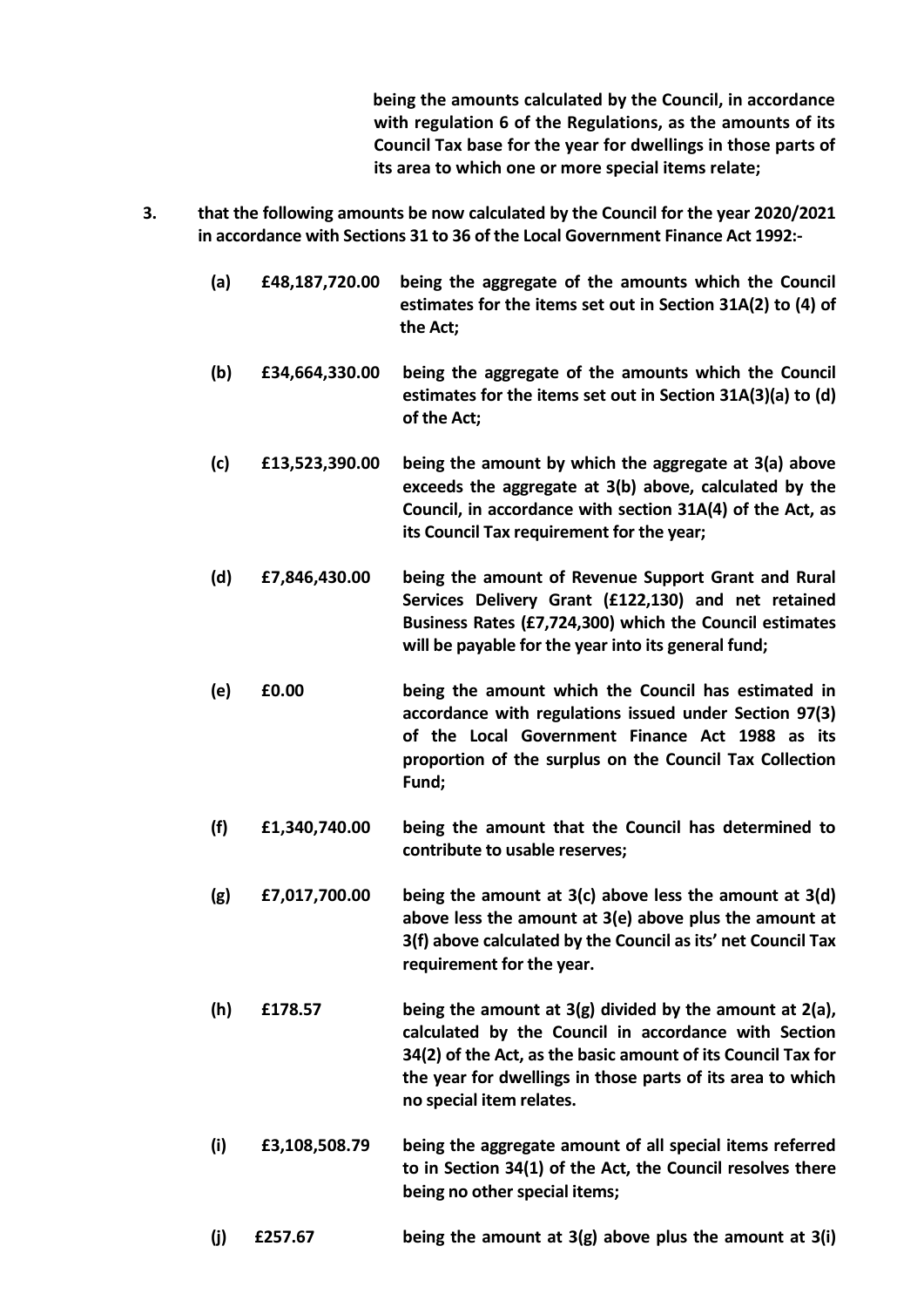**being the amounts calculated by the Council, in accordance with regulation 6 of the Regulations, as the amounts of its Council Tax base for the year for dwellings in those parts of its area to which one or more special items relate;**

- **3. that the following amounts be now calculated by the Council for the year 2020/2021 in accordance with Sections 31 to 36 of the Local Government Finance Act 1992:-**
	- **(a) £48,187,720.00 being the aggregate of the amounts which the Council estimates for the items set out in Section 31A(2) to (4) of the Act;**
	- **(b) £34,664,330.00 being the aggregate of the amounts which the Council estimates for the items set out in Section 31A(3)(a) to (d) of the Act;**
	- **(c) £13,523,390.00 being the amount by which the aggregate at 3(a) above exceeds the aggregate at 3(b) above, calculated by the Council, in accordance with section 31A(4) of the Act, as its Council Tax requirement for the year;**
	- **(d) £7,846,430.00 being the amount of Revenue Support Grant and Rural Services Delivery Grant (£122,130) and net retained Business Rates (£7,724,300) which the Council estimates will be payable for the year into its general fund;**
	- **(e) £0.00 being the amount which the Council has estimated in accordance with regulations issued under Section 97(3) of the Local Government Finance Act 1988 as its proportion of the surplus on the Council Tax Collection Fund;**
	- **(f) £1,340,740.00 being the amount that the Council has determined to contribute to usable reserves;**
	- **(g) £7,017,700.00 being the amount at 3(c) above less the amount at 3(d) above less the amount at 3(e) above plus the amount at 3(f) above calculated by the Council as its' net Council Tax requirement for the year.**
	- **(h) £178.57 being the amount at 3(g) divided by the amount at 2(a), calculated by the Council in accordance with Section 34(2) of the Act, as the basic amount of its Council Tax for the year for dwellings in those parts of its area to which no special item relates.**
	- **(i) £3,108,508.79 being the aggregate amount of all special items referred to in Section 34(1) of the Act, the Council resolves there being no other special items;**
	- **(j) £257.67 being the amount at 3(g) above plus the amount at 3(i)**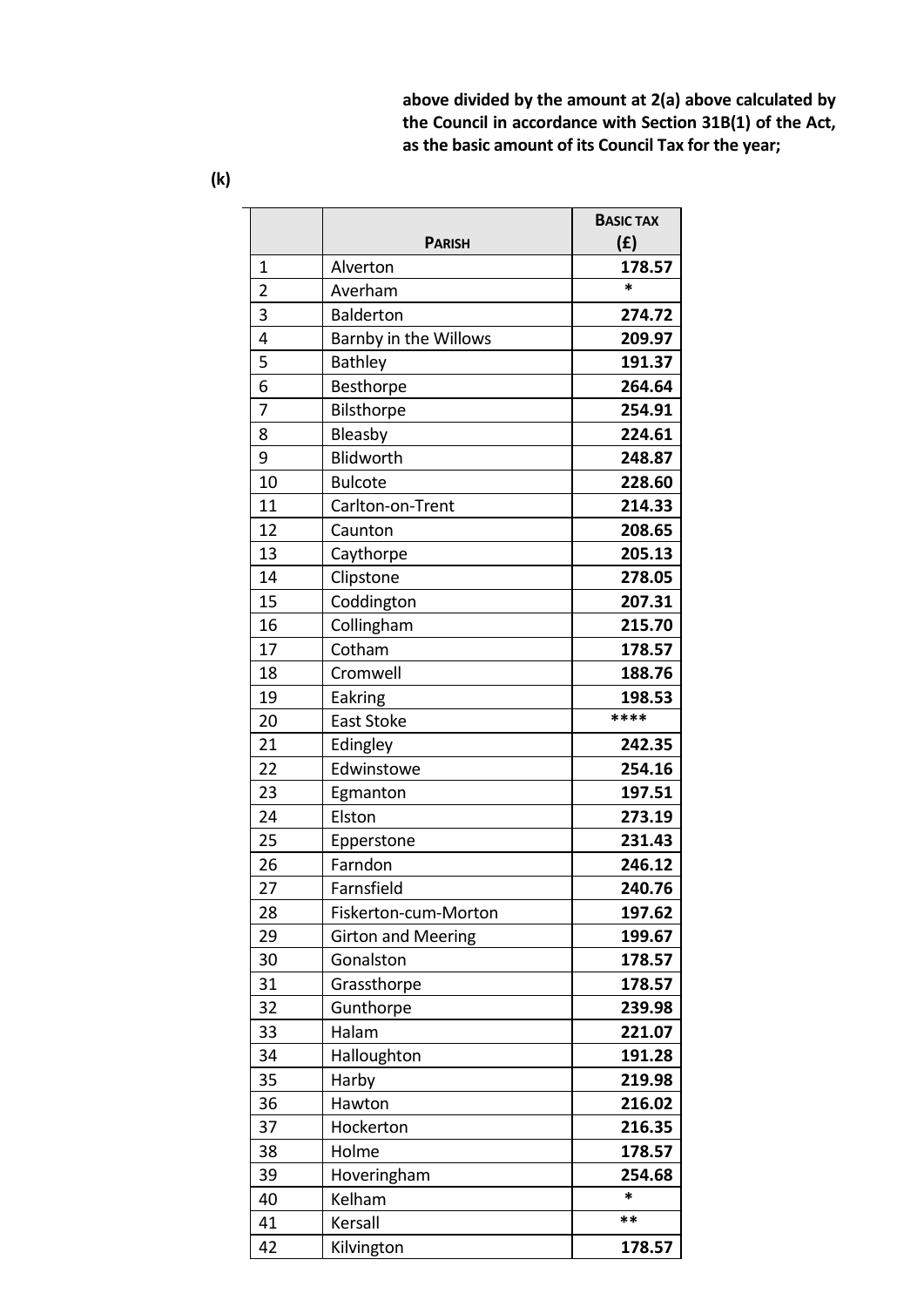**above divided by the amount at 2(a) above calculated by the Council in accordance with Section 31B(1) of the Act, as the basic amount of its Council Tax for the year;**

|                | <b>PARISH</b>             | <b>BASIC TAX</b><br>(f) |
|----------------|---------------------------|-------------------------|
| 1              | Alverton                  | 178.57                  |
| $\overline{2}$ | Averham                   | $\ast$                  |
| 3              | <b>Balderton</b>          | 274.72                  |
| 4              | Barnby in the Willows     | 209.97                  |
| 5              | <b>Bathley</b>            | 191.37                  |
| 6              | Besthorpe                 | 264.64                  |
| 7              | Bilsthorpe                | 254.91                  |
| 8              | Bleasby                   | 224.61                  |
| 9              | Blidworth                 | 248.87                  |
| 10             | <b>Bulcote</b>            | 228.60                  |
| 11             | Carlton-on-Trent          | 214.33                  |
| 12             | Caunton                   | 208.65                  |
| 13             | Caythorpe                 | 205.13                  |
| 14             | Clipstone                 | 278.05                  |
| 15             | Coddington                | 207.31                  |
| 16             | Collingham                | 215.70                  |
| 17             | Cotham                    | 178.57                  |
| 18             | Cromwell                  | 188.76                  |
| 19             | Eakring                   | 198.53                  |
| 20             | East Stoke                | ****                    |
| 21             | Edingley                  | 242.35                  |
| 22             | Edwinstowe                | 254.16                  |
| 23             | Egmanton                  | 197.51                  |
| 24             | Elston                    | 273.19                  |
| 25             | Epperstone                | 231.43                  |
| 26             | Farndon                   | 246.12                  |
| 27             | Farnsfield                | 240.76                  |
| 28             | Fiskerton-cum-Morton      | 197.62                  |
| 29             | <b>Girton and Meering</b> | 199.67                  |
| 30             | Gonalston                 | 178.57                  |
| 31             | Grassthorpe               | 178.57                  |
| 32             | Gunthorpe                 | 239.98                  |
| 33             | Halam                     | 221.07                  |
| 34             | Halloughton               | 191.28                  |
| 35             | Harby                     | 219.98                  |
| 36             | Hawton                    | 216.02                  |
| 37             | Hockerton                 | 216.35                  |
| 38             | Holme                     | 178.57                  |
| 39             | Hoveringham               | 254.68                  |
| 40             | Kelham                    | $\ast$                  |
| 41             | Kersall                   | **                      |
| 42             | Kilvington                | 178.57                  |
|                |                           |                         |

**(k)**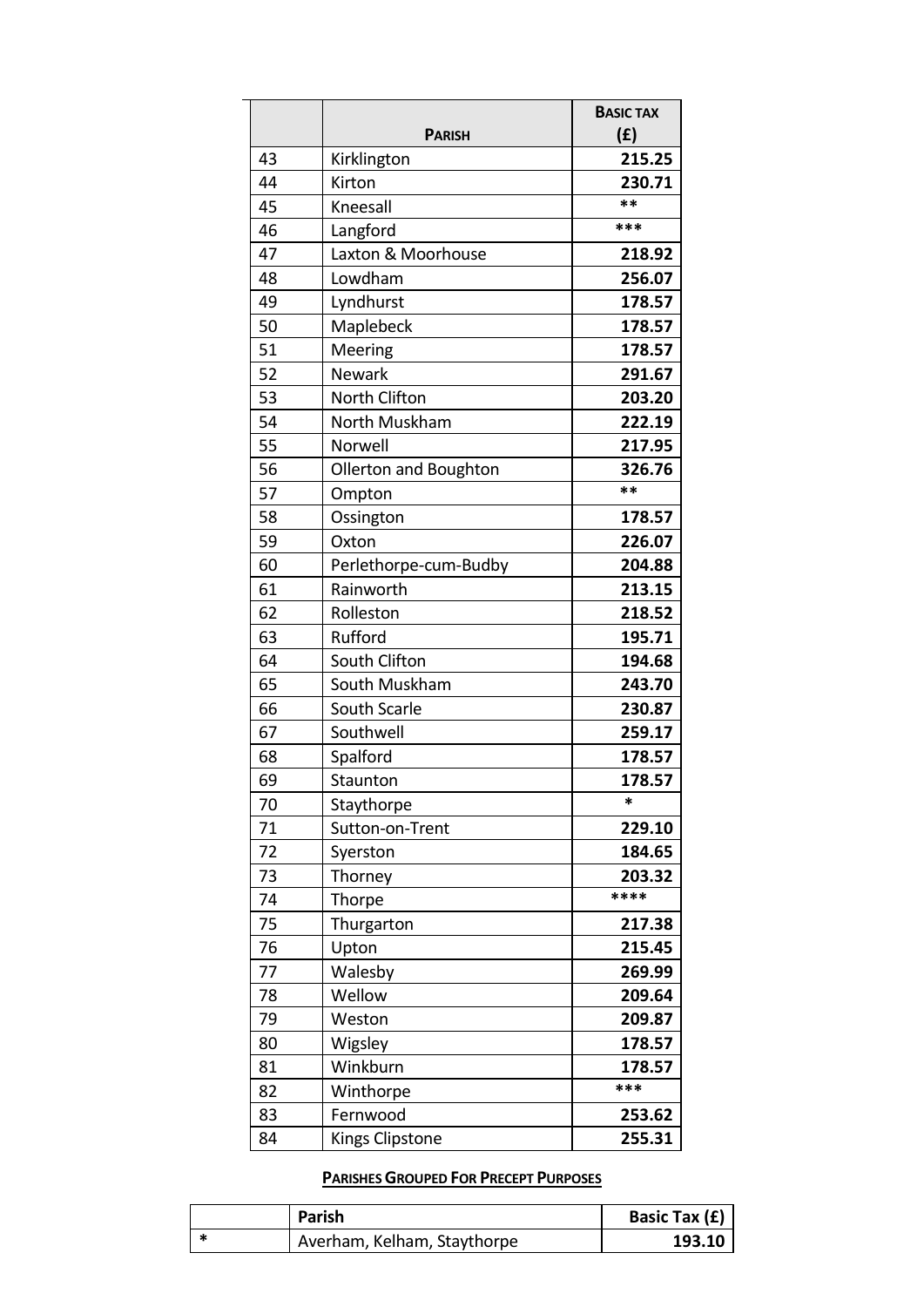|    |                       | <b>BASIC TAX</b> |
|----|-----------------------|------------------|
|    | <b>PARISH</b>         | (f)              |
| 43 | Kirklington           | 215.25           |
| 44 | Kirton                | 230.71<br>**     |
| 45 | Kneesall              | ***              |
| 46 | Langford              |                  |
| 47 | Laxton & Moorhouse    | 218.92           |
| 48 | Lowdham               | 256.07           |
| 49 | Lyndhurst             | 178.57           |
| 50 | Maplebeck             | 178.57           |
| 51 | Meering               | 178.57           |
| 52 | <b>Newark</b>         | 291.67           |
| 53 | North Clifton         | 203.20           |
| 54 | North Muskham         | 222.19           |
| 55 | Norwell               | 217.95           |
| 56 | Ollerton and Boughton | 326.76           |
| 57 | Ompton                | **               |
| 58 | Ossington             | 178.57           |
| 59 | Oxton                 | 226.07           |
| 60 | Perlethorpe-cum-Budby | 204.88           |
| 61 | Rainworth             | 213.15           |
| 62 | Rolleston             | 218.52           |
| 63 | Rufford               | 195.71           |
| 64 | South Clifton         | 194.68           |
| 65 | South Muskham         | 243.70           |
| 66 | South Scarle          | 230.87           |
| 67 | Southwell             | 259.17           |
| 68 | Spalford              | 178.57           |
| 69 | Staunton              | 178.57           |
| 70 | Staythorpe            | $\ast$           |
| 71 | Sutton-on-Trent       | 229.10           |
| 72 | Syerston              | 184.65           |
| 73 | Thorney               | 203.32           |
| 74 | Thorpe                | ****             |
| 75 | Thurgarton            | 217.38           |
| 76 | Upton                 | 215.45           |
| 77 | Walesby               | 269.99           |
| 78 | Wellow                | 209.64           |
| 79 | Weston                | 209.87           |
| 80 | Wigsley               | 178.57           |
| 81 | Winkburn              | 178.57           |
| 82 | Winthorpe             | ***              |
| 83 | Fernwood              | 253.62           |
| 84 | Kings Clipstone       | 255.31           |

#### **PARISHES GROUPED FOR PRECEPT PURPOSES**

| Parish                      | Basic Tax (£) |
|-----------------------------|---------------|
| Averham, Kelham, Staythorpe | 193.10        |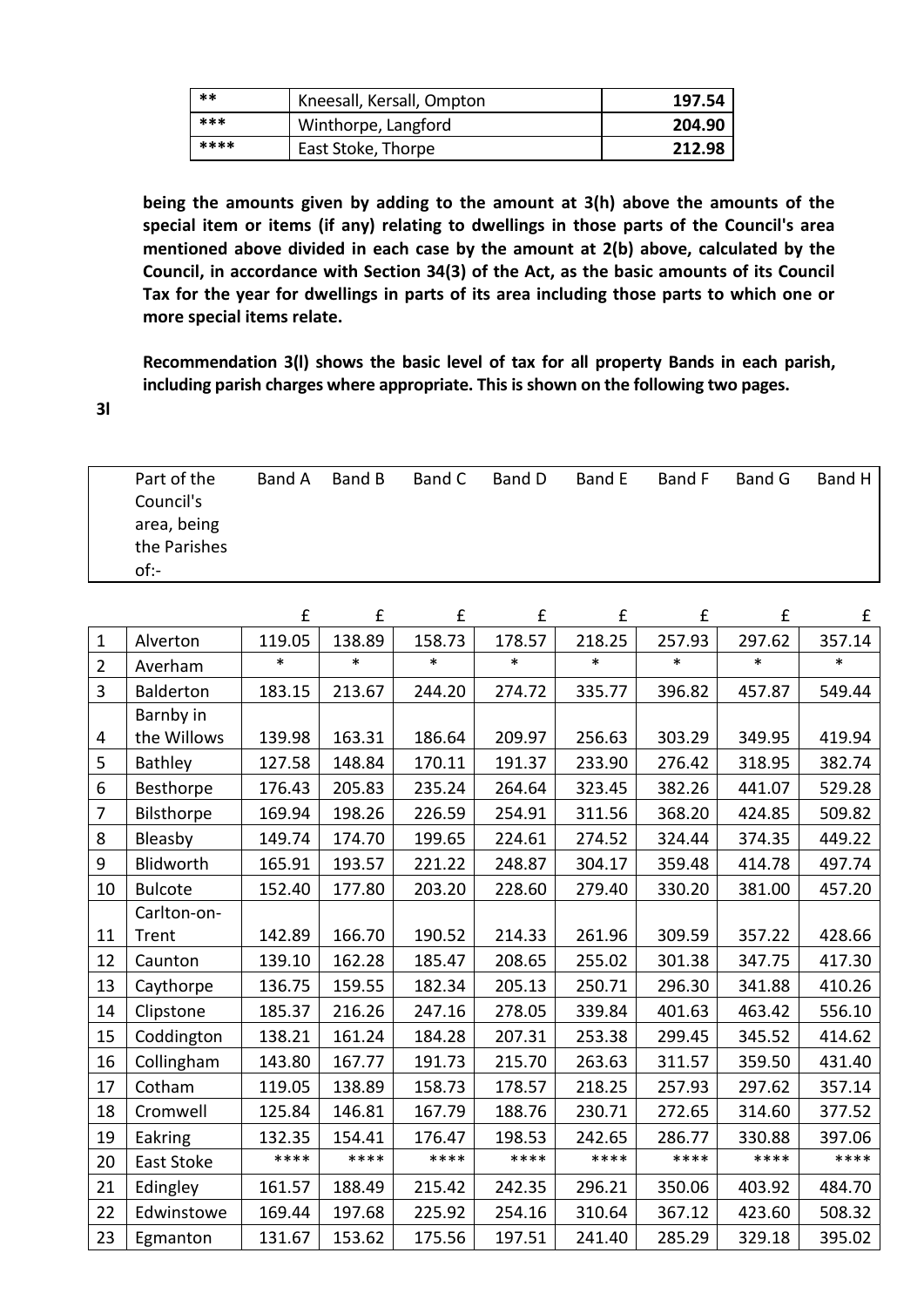| **   | Kneesall, Kersall, Ompton | 197.54 |
|------|---------------------------|--------|
| ***  | Winthorpe, Langford       | 204.90 |
| **** | East Stoke, Thorpe        | 212.98 |

**being the amounts given by adding to the amount at 3(h) above the amounts of the special item or items (if any) relating to dwellings in those parts of the Council's area mentioned above divided in each case by the amount at 2(b) above, calculated by the Council, in accordance with Section 34(3) of the Act, as the basic amounts of its Council Tax for the year for dwellings in parts of its area including those parts to which one or more special items relate.**

**Recommendation 3(l) shows the basic level of tax for all property Bands in each parish, including parish charges where appropriate. This is shown on the following two pages.**

**3l**

| Part of the  | Band A | Band B | Band C | Band D | Band E | Band F | Band G | Band H |
|--------------|--------|--------|--------|--------|--------|--------|--------|--------|
| Council's    |        |        |        |        |        |        |        |        |
| area, being  |        |        |        |        |        |        |        |        |
| the Parishes |        |        |        |        |        |        |        |        |
| of:-         |        |        |        |        |        |        |        |        |

|                |                  | £      | £      | £      | £      | £      | £      | £      | £      |
|----------------|------------------|--------|--------|--------|--------|--------|--------|--------|--------|
| $\mathbf{1}$   | Alverton         | 119.05 | 138.89 | 158.73 | 178.57 | 218.25 | 257.93 | 297.62 | 357.14 |
| $\overline{2}$ | Averham          | $\ast$ | $\ast$ | $\ast$ | $\ast$ | *      | *      | $\ast$ | $\ast$ |
| $\overline{3}$ | <b>Balderton</b> | 183.15 | 213.67 | 244.20 | 274.72 | 335.77 | 396.82 | 457.87 | 549.44 |
|                | Barnby in        |        |        |        |        |        |        |        |        |
| 4              | the Willows      | 139.98 | 163.31 | 186.64 | 209.97 | 256.63 | 303.29 | 349.95 | 419.94 |
| 5              | <b>Bathley</b>   | 127.58 | 148.84 | 170.11 | 191.37 | 233.90 | 276.42 | 318.95 | 382.74 |
| 6              | Besthorpe        | 176.43 | 205.83 | 235.24 | 264.64 | 323.45 | 382.26 | 441.07 | 529.28 |
| $\overline{7}$ | Bilsthorpe       | 169.94 | 198.26 | 226.59 | 254.91 | 311.56 | 368.20 | 424.85 | 509.82 |
| 8              | Bleasby          | 149.74 | 174.70 | 199.65 | 224.61 | 274.52 | 324.44 | 374.35 | 449.22 |
| 9              | Blidworth        | 165.91 | 193.57 | 221.22 | 248.87 | 304.17 | 359.48 | 414.78 | 497.74 |
| 10             | <b>Bulcote</b>   | 152.40 | 177.80 | 203.20 | 228.60 | 279.40 | 330.20 | 381.00 | 457.20 |
|                | Carlton-on-      |        |        |        |        |        |        |        |        |
| 11             | Trent            | 142.89 | 166.70 | 190.52 | 214.33 | 261.96 | 309.59 | 357.22 | 428.66 |
| 12             | Caunton          | 139.10 | 162.28 | 185.47 | 208.65 | 255.02 | 301.38 | 347.75 | 417.30 |
| 13             | Caythorpe        | 136.75 | 159.55 | 182.34 | 205.13 | 250.71 | 296.30 | 341.88 | 410.26 |
| 14             | Clipstone        | 185.37 | 216.26 | 247.16 | 278.05 | 339.84 | 401.63 | 463.42 | 556.10 |
| 15             | Coddington       | 138.21 | 161.24 | 184.28 | 207.31 | 253.38 | 299.45 | 345.52 | 414.62 |
| 16             | Collingham       | 143.80 | 167.77 | 191.73 | 215.70 | 263.63 | 311.57 | 359.50 | 431.40 |
| 17             | Cotham           | 119.05 | 138.89 | 158.73 | 178.57 | 218.25 | 257.93 | 297.62 | 357.14 |
| 18             | Cromwell         | 125.84 | 146.81 | 167.79 | 188.76 | 230.71 | 272.65 | 314.60 | 377.52 |
| 19             | Eakring          | 132.35 | 154.41 | 176.47 | 198.53 | 242.65 | 286.77 | 330.88 | 397.06 |
| 20             | East Stoke       | ****   | ****   | ****   | ****   | ****   | ****   | ****   | ****   |
| 21             | Edingley         | 161.57 | 188.49 | 215.42 | 242.35 | 296.21 | 350.06 | 403.92 | 484.70 |
| 22             | Edwinstowe       | 169.44 | 197.68 | 225.92 | 254.16 | 310.64 | 367.12 | 423.60 | 508.32 |
| 23             | Egmanton         | 131.67 | 153.62 | 175.56 | 197.51 | 241.40 | 285.29 | 329.18 | 395.02 |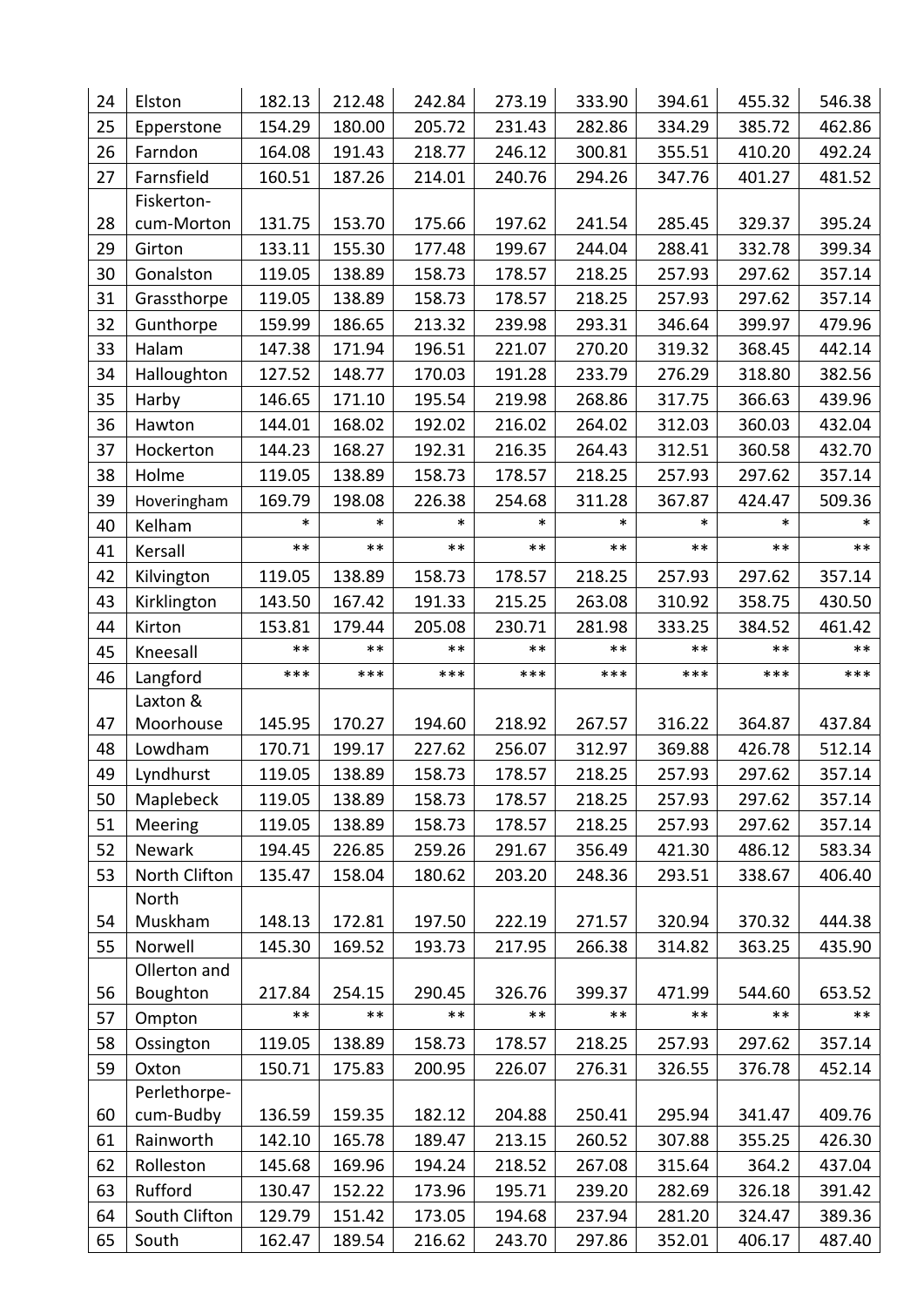| 24       | Elston                 | 182.13           | 212.48           | 242.84           | 273.19           | 333.90           | 394.61           | 455.32           | 546.38           |
|----------|------------------------|------------------|------------------|------------------|------------------|------------------|------------------|------------------|------------------|
| 25       | Epperstone             | 154.29           | 180.00           | 205.72           | 231.43           | 282.86           | 334.29           | 385.72           | 462.86           |
| 26       | Farndon                | 164.08           | 191.43           | 218.77           | 246.12           | 300.81           | 355.51           | 410.20           | 492.24           |
| 27       | Farnsfield             | 160.51           | 187.26           | 214.01           | 240.76           | 294.26           | 347.76           | 401.27           | 481.52           |
|          | Fiskerton-             |                  |                  |                  |                  |                  |                  |                  |                  |
| 28       | cum-Morton             | 131.75           | 153.70           | 175.66           | 197.62           | 241.54           | 285.45           | 329.37           | 395.24           |
| 29       | Girton                 | 133.11           | 155.30           | 177.48           | 199.67           | 244.04           | 288.41           | 332.78           | 399.34           |
| 30       | Gonalston              | 119.05           | 138.89           | 158.73           | 178.57           | 218.25           | 257.93           | 297.62           | 357.14           |
| 31       | Grassthorpe            | 119.05           | 138.89           | 158.73           | 178.57           | 218.25           | 257.93           | 297.62           | 357.14           |
| 32       | Gunthorpe              | 159.99           | 186.65           | 213.32           | 239.98           | 293.31           | 346.64           | 399.97           | 479.96           |
| 33       | Halam                  | 147.38           | 171.94           | 196.51           | 221.07           | 270.20           | 319.32           | 368.45           | 442.14           |
| 34       | Halloughton            | 127.52           | 148.77           | 170.03           | 191.28           | 233.79           | 276.29           | 318.80           | 382.56           |
| 35       | Harby                  | 146.65           | 171.10           | 195.54           | 219.98           | 268.86           | 317.75           | 366.63           | 439.96           |
| 36       | Hawton                 | 144.01           | 168.02           | 192.02           | 216.02           | 264.02           | 312.03           | 360.03           | 432.04           |
| 37       | Hockerton              | 144.23           | 168.27           | 192.31           | 216.35           | 264.43           | 312.51           | 360.58           | 432.70           |
| 38       | Holme                  | 119.05           | 138.89           | 158.73           | 178.57           | 218.25           | 257.93           | 297.62           | 357.14           |
| 39       | Hoveringham            | 169.79           | 198.08           | 226.38           | 254.68           | 311.28           | 367.87           | 424.47           | 509.36           |
| 40       | Kelham                 | $\ast$           | *                | $\ast$           | *                | $\ast$           | $\ast$           | *                | $\ast$           |
| 41       | Kersall                | $***$            | $***$            | $***$            | $***$            | $***$            | $***$            | $***$            | $***$            |
| 42       | Kilvington             | 119.05           | 138.89           | 158.73           | 178.57           | 218.25           | 257.93           | 297.62           | 357.14           |
| 43       | Kirklington            | 143.50           | 167.42           | 191.33           | 215.25           | 263.08           | 310.92           | 358.75           | 430.50           |
| 44       | Kirton                 | 153.81           | 179.44           | 205.08           | 230.71           | 281.98           | 333.25           | 384.52           | 461.42           |
| 45       | Kneesall               | $***$            | $***$            | $***$            | $***$            | $***$            | $***$            | $***$            | $***$            |
| 46       | Langford               | ***              | ***              | ***              | ***              | $***$            | ***              | ***              | ***              |
|          | Laxton &               |                  |                  |                  |                  |                  |                  |                  |                  |
| 47       | Moorhouse              | 145.95           | 170.27           | 194.60           | 218.92           | 267.57           | 316.22           | 364.87           | 437.84           |
| 48       | Lowdham                | 170.71           | 199.17           | 227.62           | 256.07           | 312.97           | 369.88           | 426.78           | 512.14           |
| 49       | Lyndhurst              | 119.05           | 138.89           | 158.73           | 178.57           | 218.25           | 257.93           | 297.62           | 357.14           |
| 50       | Maplebeck              | 119.05           | 138.89           | 158.73           | 178.57           | 218.25           | 257.93           | 297.62           | 357.14           |
| 51       | Meering                | 119.05           | 138.89           | 158.73           | 178.57           | 218.25           | 257.93           | 297.62           | 357.14           |
| 52       | Newark                 | 194.45           | 226.85           | 259.26           | 291.67           | 356.49           | 421.30           | 486.12           | 583.34           |
| 53       | North Clifton          | 135.47           | 158.04           | 180.62           | 203.20           | 248.36           | 293.51           | 338.67           | 406.40           |
|          | North                  |                  |                  |                  |                  |                  |                  |                  |                  |
| 54       | Muskham                | 148.13           | 172.81           | 197.50           | 222.19           | 271.57           | 320.94           | 370.32           | 444.38           |
| 55       | Norwell                | 145.30           | 169.52           | 193.73           | 217.95           | 266.38           | 314.82           | 363.25           | 435.90           |
|          | Ollerton and           |                  |                  |                  |                  |                  |                  |                  |                  |
| 56       | Boughton               | 217.84<br>$***$  | 254.15<br>$***$  | 290.45<br>$***$  | 326.76<br>$***$  | 399.37<br>$***$  | 471.99<br>**     | 544.60<br>$***$  | 653.52<br>**     |
| 57       | Ompton                 |                  |                  |                  |                  |                  |                  |                  |                  |
| 58       | Ossington              | 119.05           | 138.89           | 158.73           | 178.57           | 218.25           | 257.93           | 297.62           | 357.14           |
| 59       | Oxton                  | 150.71           | 175.83           | 200.95           | 226.07           | 276.31           | 326.55           | 376.78           | 452.14           |
| 60       | Perlethorpe-           | 136.59           | 159.35           | 182.12           | 204.88           | 250.41           | 295.94           | 341.47           | 409.76           |
|          | cum-Budby              |                  |                  |                  |                  |                  |                  |                  |                  |
| 61       | Rainworth              | 142.10           | 165.78           | 189.47           | 213.15           | 260.52           | 307.88           | 355.25           | 426.30           |
| 62       | Rolleston              | 145.68           | 169.96           | 194.24           | 218.52           | 267.08           | 315.64           | 364.2            | 437.04           |
| 63       | Rufford                | 130.47           | 152.22           | 173.96           | 195.71           | 239.20           | 282.69           | 326.18           | 391.42           |
|          |                        |                  |                  |                  |                  |                  |                  |                  |                  |
| 64<br>65 | South Clifton<br>South | 129.79<br>162.47 | 151.42<br>189.54 | 173.05<br>216.62 | 194.68<br>243.70 | 237.94<br>297.86 | 281.20<br>352.01 | 324.47<br>406.17 | 389.36<br>487.40 |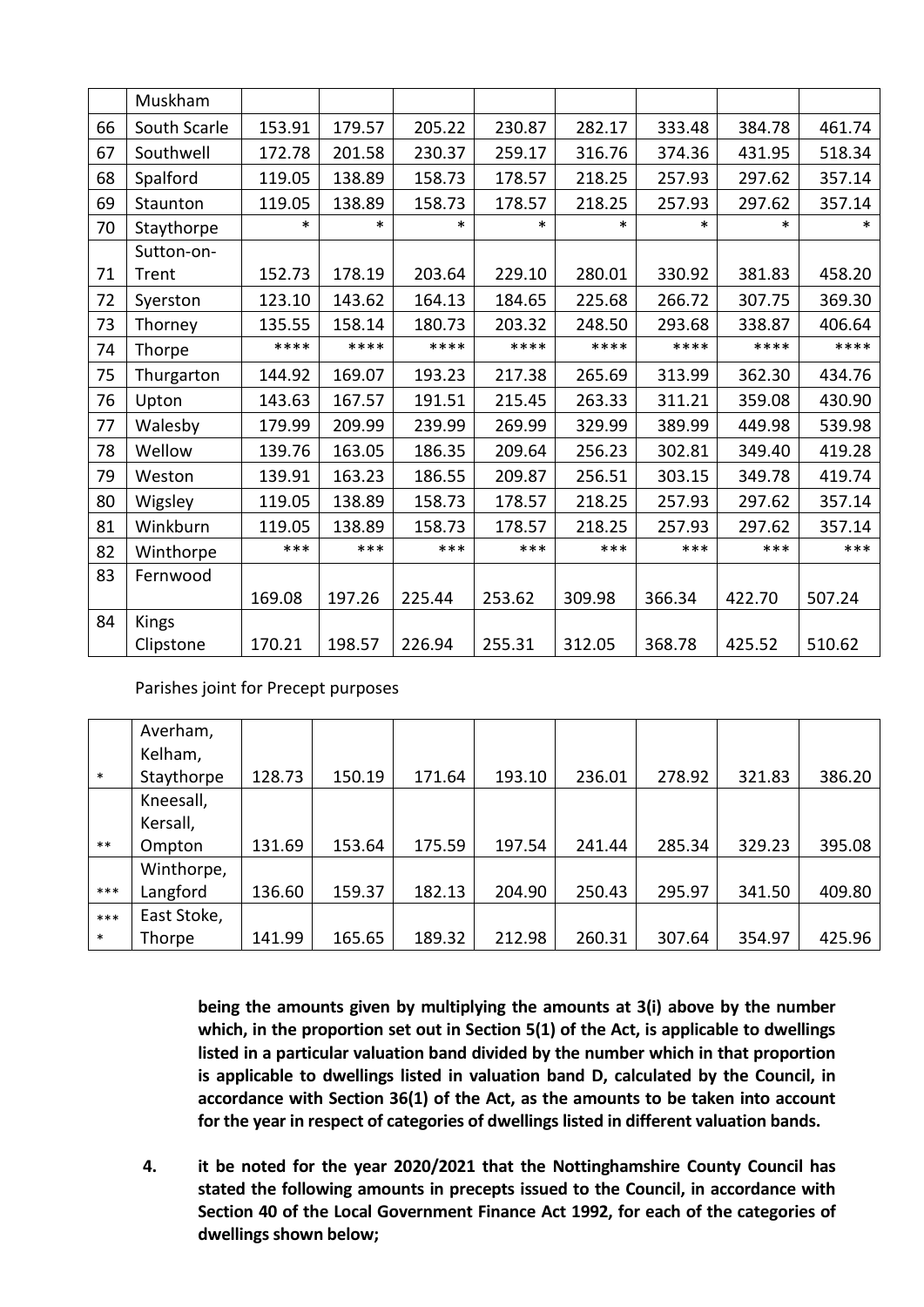|    | Muskham      |        |        |        |        |        |        |        |        |
|----|--------------|--------|--------|--------|--------|--------|--------|--------|--------|
|    |              |        |        |        |        |        |        |        |        |
| 66 | South Scarle | 153.91 | 179.57 | 205.22 | 230.87 | 282.17 | 333.48 | 384.78 | 461.74 |
| 67 | Southwell    | 172.78 | 201.58 | 230.37 | 259.17 | 316.76 | 374.36 | 431.95 | 518.34 |
| 68 | Spalford     | 119.05 | 138.89 | 158.73 | 178.57 | 218.25 | 257.93 | 297.62 | 357.14 |
| 69 | Staunton     | 119.05 | 138.89 | 158.73 | 178.57 | 218.25 | 257.93 | 297.62 | 357.14 |
| 70 | Staythorpe   | $\ast$ | $\ast$ | $\ast$ | $\ast$ | $\ast$ | $\ast$ | $\ast$ | $\ast$ |
|    | Sutton-on-   |        |        |        |        |        |        |        |        |
| 71 | Trent        | 152.73 | 178.19 | 203.64 | 229.10 | 280.01 | 330.92 | 381.83 | 458.20 |
| 72 | Syerston     | 123.10 | 143.62 | 164.13 | 184.65 | 225.68 | 266.72 | 307.75 | 369.30 |
| 73 | Thorney      | 135.55 | 158.14 | 180.73 | 203.32 | 248.50 | 293.68 | 338.87 | 406.64 |
| 74 | Thorpe       | ****   | ****   | ****   | ****   | ****   | ****   | ****   | ****   |
| 75 | Thurgarton   | 144.92 | 169.07 | 193.23 | 217.38 | 265.69 | 313.99 | 362.30 | 434.76 |
| 76 | Upton        | 143.63 | 167.57 | 191.51 | 215.45 | 263.33 | 311.21 | 359.08 | 430.90 |
| 77 | Walesby      | 179.99 | 209.99 | 239.99 | 269.99 | 329.99 | 389.99 | 449.98 | 539.98 |
| 78 | Wellow       | 139.76 | 163.05 | 186.35 | 209.64 | 256.23 | 302.81 | 349.40 | 419.28 |
| 79 | Weston       | 139.91 | 163.23 | 186.55 | 209.87 | 256.51 | 303.15 | 349.78 | 419.74 |
| 80 | Wigsley      | 119.05 | 138.89 | 158.73 | 178.57 | 218.25 | 257.93 | 297.62 | 357.14 |
| 81 | Winkburn     | 119.05 | 138.89 | 158.73 | 178.57 | 218.25 | 257.93 | 297.62 | 357.14 |
| 82 | Winthorpe    | $***$  | ***    | ***    | $***$  | $***$  | $***$  | ***    | $***$  |
| 83 | Fernwood     |        |        |        |        |        |        |        |        |
|    |              | 169.08 | 197.26 | 225.44 | 253.62 | 309.98 | 366.34 | 422.70 | 507.24 |
| 84 | Kings        |        |        |        |        |        |        |        |        |
|    | Clipstone    | 170.21 | 198.57 | 226.94 | 255.31 | 312.05 | 368.78 | 425.52 | 510.62 |

Parishes joint for Precept purposes

|        | Averham,    |        |        |        |        |        |        |        |        |
|--------|-------------|--------|--------|--------|--------|--------|--------|--------|--------|
|        | Kelham,     |        |        |        |        |        |        |        |        |
| $\ast$ | Staythorpe  | 128.73 | 150.19 | 171.64 | 193.10 | 236.01 | 278.92 | 321.83 | 386.20 |
|        | Kneesall,   |        |        |        |        |        |        |        |        |
|        | Kersall,    |        |        |        |        |        |        |        |        |
| $***$  | Ompton      | 131.69 | 153.64 | 175.59 | 197.54 | 241.44 | 285.34 | 329.23 | 395.08 |
|        | Winthorpe,  |        |        |        |        |        |        |        |        |
| ***    | Langford    | 136.60 | 159.37 | 182.13 | 204.90 | 250.43 | 295.97 | 341.50 | 409.80 |
| $***$  | East Stoke, |        |        |        |        |        |        |        |        |
| $\ast$ | Thorpe      | 141.99 | 165.65 | 189.32 | 212.98 | 260.31 | 307.64 | 354.97 | 425.96 |

**being the amounts given by multiplying the amounts at 3(i) above by the number which, in the proportion set out in Section 5(1) of the Act, is applicable to dwellings listed in a particular valuation band divided by the number which in that proportion is applicable to dwellings listed in valuation band D, calculated by the Council, in accordance with Section 36(1) of the Act, as the amounts to be taken into account for the year in respect of categories of dwellings listed in different valuation bands.**

**4. it be noted for the year 2020/2021 that the Nottinghamshire County Council has stated the following amounts in precepts issued to the Council, in accordance with Section 40 of the Local Government Finance Act 1992, for each of the categories of dwellings shown below;**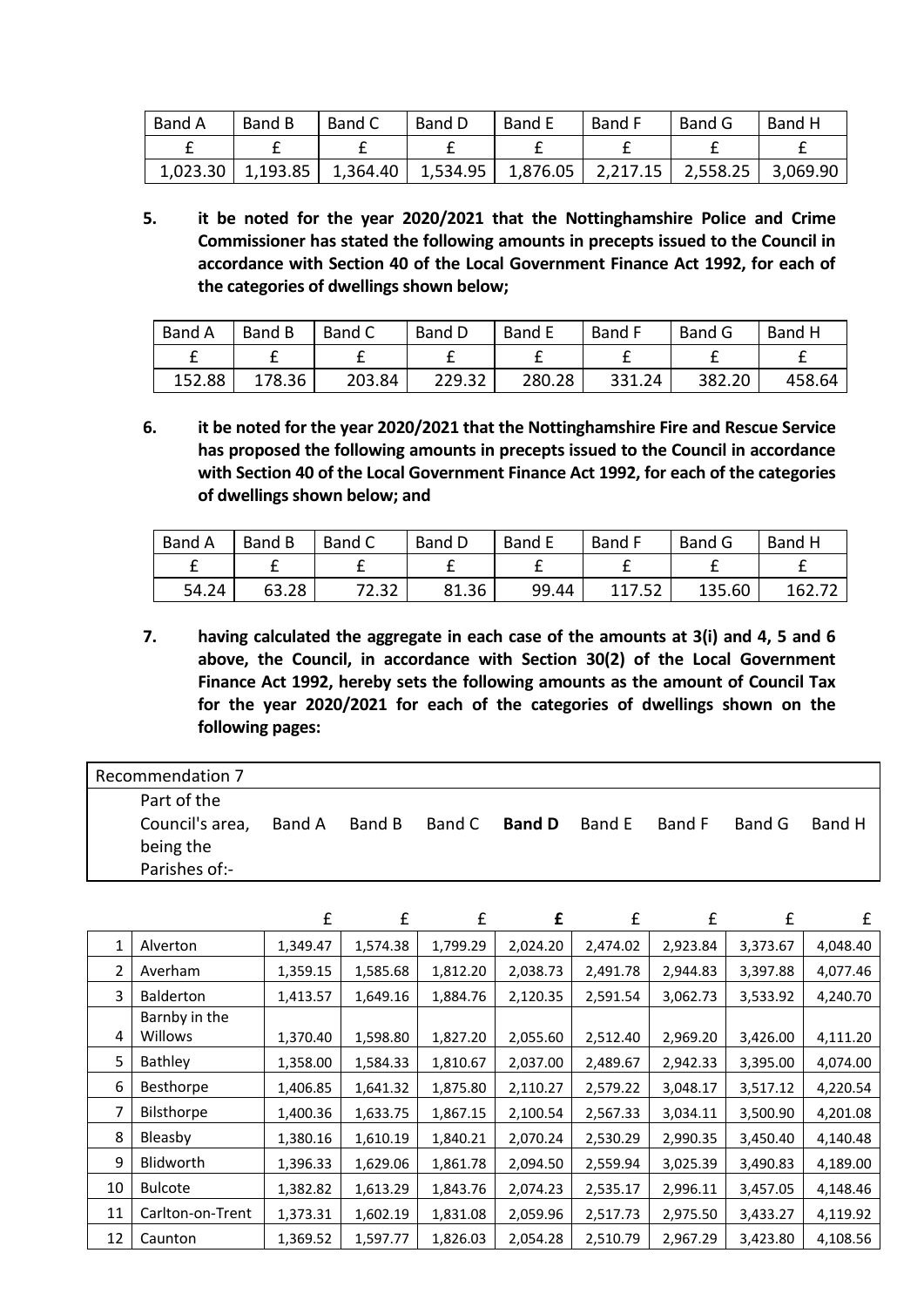| <b>Band A</b> | Band B   | Band C   | Band D           | <b>Band E</b> | Band F   | Band G   | Band H   |
|---------------|----------|----------|------------------|---------------|----------|----------|----------|
|               |          |          |                  |               |          |          |          |
| 1,023.30      | 1,193.85 | 1,364.40 | $\vert$ 1,534.95 | 1,876.05      | 2,217.15 | 2,558.25 | 3,069.90 |

**5. it be noted for the year 2020/2021 that the Nottinghamshire Police and Crime Commissioner has stated the following amounts in precepts issued to the Council in accordance with Section 40 of the Local Government Finance Act 1992, for each of the categories of dwellings shown below;**

| <b>Band A</b> | Band B | Band C | Band D | Band E | Band F | Band G | <b>Band H</b> |
|---------------|--------|--------|--------|--------|--------|--------|---------------|
|               |        |        |        |        |        |        |               |
| 152.88        | 178.36 | 203.84 | 229.32 | 280.28 | 331.24 | 382.20 | 458.64        |

**6. it be noted for the year 2020/2021 that the Nottinghamshire Fire and Rescue Service has proposed the following amounts in precepts issued to the Council in accordance with Section 40 of the Local Government Finance Act 1992, for each of the categories of dwellings shown below; and**

| Band A | Band B | Band C | <b>Band D</b> | <b>Band E</b> | Band F | Band G | Band H |
|--------|--------|--------|---------------|---------------|--------|--------|--------|
|        |        |        |               |               |        |        |        |
| 54.24  | 63.28  | 72.32  | 81.36         | 99.44         | 117.52 | 135.60 | 162.72 |

**7. having calculated the aggregate in each case of the amounts at 3(i) and 4, 5 and 6 above, the Council, in accordance with Section 30(2) of the Local Government Finance Act 1992, hereby sets the following amounts as the amount of Council Tax for the year 2020/2021 for each of the categories of dwellings shown on the following pages:**

| Recommendation 7             |        |        |               |               |        |        |
|------------------------------|--------|--------|---------------|---------------|--------|--------|
| Part of the                  |        |        |               |               |        |        |
| Council's area,<br>being the | Band A | Band B | Band C Band D | Band E Band F | Band G | Band H |
| Parishes of:-                |        |        |               |               |        |        |

|    |                  | £        | £        | £        | £        | £        | £        | £        | £        |
|----|------------------|----------|----------|----------|----------|----------|----------|----------|----------|
|    | Alverton         | 1,349.47 | 1,574.38 | 1,799.29 | 2,024.20 | 2,474.02 | 2,923.84 | 3,373.67 | 4,048.40 |
| 2  | Averham          | 1,359.15 | 1,585.68 | 1,812.20 | 2,038.73 | 2,491.78 | 2,944.83 | 3,397.88 | 4,077.46 |
| 3  | <b>Balderton</b> | 1,413.57 | 1,649.16 | 1,884.76 | 2,120.35 | 2,591.54 | 3,062.73 | 3,533.92 | 4,240.70 |
|    | Barnby in the    |          |          |          |          |          |          |          |          |
| 4  | Willows          | 1,370.40 | 1,598.80 | 1,827.20 | 2,055.60 | 2,512.40 | 2,969.20 | 3,426.00 | 4,111.20 |
| 5  | Bathley          | 1,358.00 | 1,584.33 | 1,810.67 | 2,037.00 | 2,489.67 | 2,942.33 | 3,395.00 | 4,074.00 |
| 6  | Besthorpe        | 1,406.85 | 1,641.32 | 1,875.80 | 2,110.27 | 2,579.22 | 3,048.17 | 3,517.12 | 4,220.54 |
| 7  | Bilsthorpe       | 1,400.36 | 1,633.75 | 1,867.15 | 2,100.54 | 2,567.33 | 3,034.11 | 3,500.90 | 4,201.08 |
| 8  | Bleasby          | 1,380.16 | 1,610.19 | 1,840.21 | 2,070.24 | 2,530.29 | 2,990.35 | 3,450.40 | 4,140.48 |
| 9  | Blidworth        | 1,396.33 | 1,629.06 | 1,861.78 | 2,094.50 | 2,559.94 | 3,025.39 | 3,490.83 | 4,189.00 |
| 10 | <b>Bulcote</b>   | 1,382.82 | 1,613.29 | 1,843.76 | 2,074.23 | 2,535.17 | 2,996.11 | 3,457.05 | 4,148.46 |
| 11 | Carlton-on-Trent | 1,373.31 | 1,602.19 | 1,831.08 | 2,059.96 | 2,517.73 | 2,975.50 | 3,433.27 | 4,119.92 |
| 12 | Caunton          | 1,369.52 | 1,597.77 | 1,826.03 | 2,054.28 | 2,510.79 | 2,967.29 | 3,423.80 | 4,108.56 |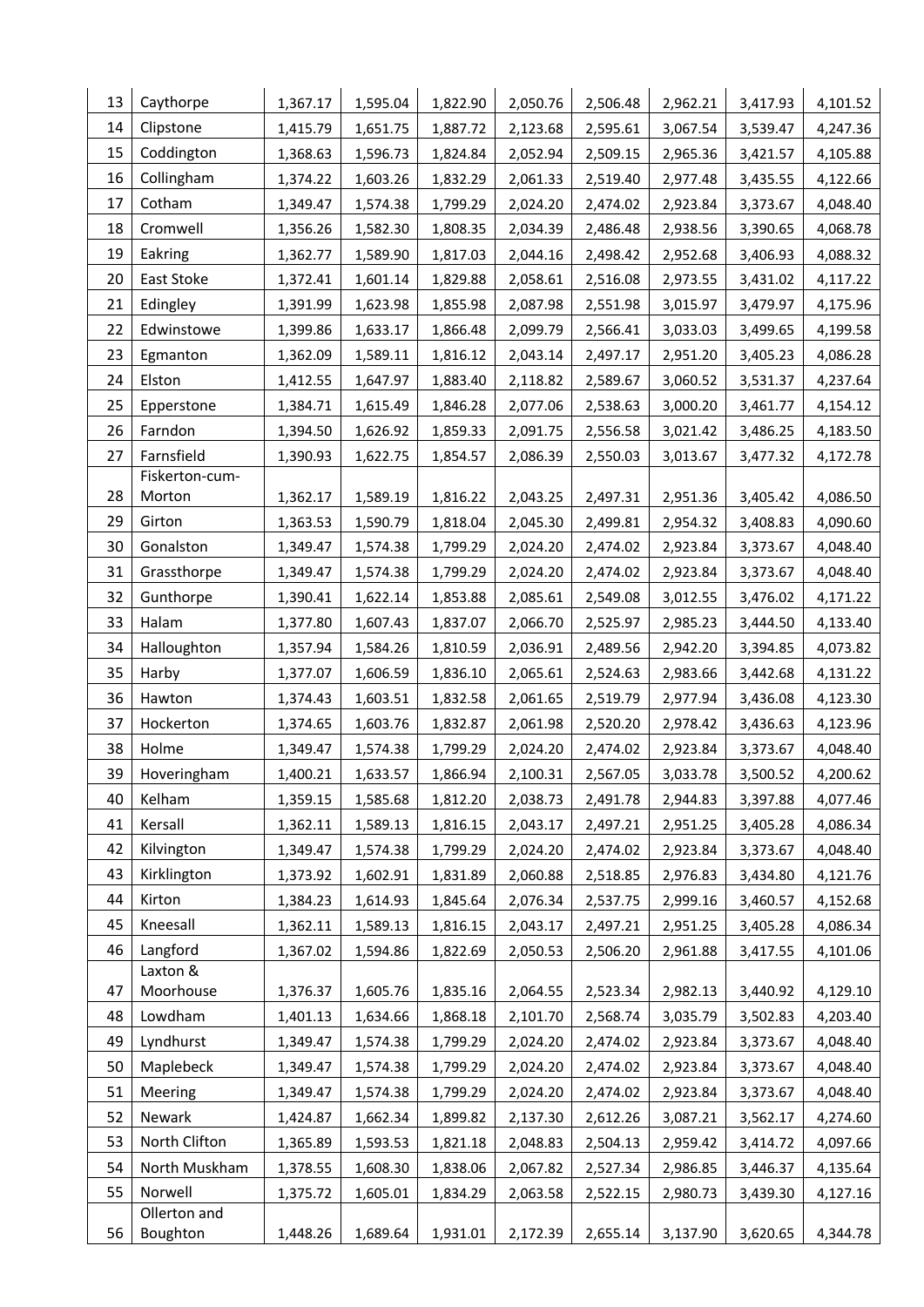| 13 | Caythorpe            | 1,367.17 | 1,595.04 | 1,822.90 | 2,050.76 | 2,506.48 | 2,962.21 | 3,417.93 | 4,101.52 |
|----|----------------------|----------|----------|----------|----------|----------|----------|----------|----------|
| 14 | Clipstone            | 1,415.79 | 1,651.75 | 1,887.72 | 2,123.68 | 2,595.61 | 3,067.54 | 3,539.47 | 4,247.36 |
| 15 | Coddington           | 1,368.63 | 1,596.73 | 1,824.84 | 2,052.94 | 2,509.15 | 2,965.36 | 3,421.57 | 4,105.88 |
| 16 | Collingham           | 1,374.22 | 1,603.26 | 1,832.29 | 2,061.33 | 2,519.40 | 2,977.48 | 3,435.55 | 4,122.66 |
| 17 | Cotham               | 1,349.47 | 1,574.38 | 1,799.29 | 2,024.20 | 2,474.02 | 2,923.84 | 3,373.67 | 4,048.40 |
| 18 | Cromwell             | 1,356.26 | 1,582.30 | 1,808.35 | 2,034.39 | 2,486.48 | 2,938.56 | 3,390.65 | 4,068.78 |
| 19 | Eakring              | 1,362.77 | 1,589.90 | 1,817.03 | 2,044.16 | 2,498.42 | 2,952.68 | 3,406.93 | 4,088.32 |
| 20 | East Stoke           | 1,372.41 | 1,601.14 | 1,829.88 | 2,058.61 | 2,516.08 | 2,973.55 | 3,431.02 | 4,117.22 |
| 21 | Edingley             | 1,391.99 | 1,623.98 | 1,855.98 | 2,087.98 | 2,551.98 | 3,015.97 | 3,479.97 | 4,175.96 |
| 22 | Edwinstowe           | 1,399.86 | 1,633.17 | 1,866.48 | 2,099.79 | 2,566.41 | 3,033.03 | 3,499.65 | 4,199.58 |
| 23 | Egmanton             | 1,362.09 | 1,589.11 | 1,816.12 | 2,043.14 | 2,497.17 | 2,951.20 | 3,405.23 | 4,086.28 |
| 24 | Elston               | 1,412.55 | 1,647.97 | 1,883.40 | 2,118.82 | 2,589.67 | 3,060.52 | 3,531.37 | 4,237.64 |
| 25 | Epperstone           | 1,384.71 | 1,615.49 | 1,846.28 | 2,077.06 | 2,538.63 | 3,000.20 | 3,461.77 | 4,154.12 |
| 26 | Farndon              | 1,394.50 | 1,626.92 | 1,859.33 | 2,091.75 | 2,556.58 | 3,021.42 | 3,486.25 | 4,183.50 |
| 27 | Farnsfield           | 1,390.93 | 1,622.75 | 1,854.57 | 2,086.39 | 2,550.03 | 3,013.67 | 3,477.32 | 4,172.78 |
|    | Fiskerton-cum-       |          |          |          |          |          |          |          |          |
| 28 | Morton               | 1,362.17 | 1,589.19 | 1,816.22 | 2,043.25 | 2,497.31 | 2,951.36 | 3,405.42 | 4,086.50 |
| 29 | Girton               | 1,363.53 | 1,590.79 | 1,818.04 | 2,045.30 | 2,499.81 | 2,954.32 | 3,408.83 | 4,090.60 |
| 30 | Gonalston            | 1,349.47 | 1,574.38 | 1,799.29 | 2,024.20 | 2,474.02 | 2,923.84 | 3,373.67 | 4,048.40 |
| 31 | Grassthorpe          | 1,349.47 | 1,574.38 | 1,799.29 | 2,024.20 | 2,474.02 | 2,923.84 | 3,373.67 | 4,048.40 |
| 32 | Gunthorpe            | 1,390.41 | 1,622.14 | 1,853.88 | 2,085.61 | 2,549.08 | 3,012.55 | 3,476.02 | 4,171.22 |
| 33 | Halam                | 1,377.80 | 1,607.43 | 1,837.07 | 2,066.70 | 2,525.97 | 2,985.23 | 3,444.50 | 4,133.40 |
| 34 | Halloughton          | 1,357.94 | 1,584.26 | 1,810.59 | 2,036.91 | 2,489.56 | 2,942.20 | 3,394.85 | 4,073.82 |
| 35 | Harby                | 1,377.07 | 1,606.59 | 1,836.10 | 2,065.61 | 2,524.63 | 2,983.66 | 3,442.68 | 4,131.22 |
| 36 | Hawton               | 1,374.43 | 1,603.51 | 1,832.58 | 2,061.65 | 2,519.79 | 2,977.94 | 3,436.08 | 4,123.30 |
| 37 | Hockerton            | 1,374.65 | 1,603.76 | 1,832.87 | 2,061.98 | 2,520.20 | 2,978.42 | 3,436.63 | 4,123.96 |
| 38 | Holme                | 1,349.47 | 1,574.38 | 1,799.29 | 2,024.20 | 2,474.02 | 2,923.84 | 3,373.67 | 4,048.40 |
| 39 | Hoveringham          | 1,400.21 | 1,633.57 | 1,866.94 | 2,100.31 | 2,567.05 | 3,033.78 | 3,500.52 | 4,200.62 |
| 40 | Kelham               | 1,359.15 | 1,585.68 | 1,812.20 | 2,038.73 | 2,491.78 | 2,944.83 | 3,397.88 | 4,077.46 |
| 41 | Kersall              | 1,362.11 | 1,589.13 | 1,816.15 | 2,043.17 | 2,497.21 | 2,951.25 | 3,405.28 | 4,086.34 |
| 42 | Kilvington           | 1,349.47 | 1,574.38 | 1,799.29 | 2,024.20 | 2,474.02 | 2,923.84 | 3,373.67 | 4,048.40 |
| 43 | Kirklington          | 1,373.92 | 1,602.91 | 1,831.89 | 2,060.88 | 2,518.85 | 2,976.83 | 3,434.80 | 4,121.76 |
| 44 | Kirton               | 1,384.23 | 1,614.93 | 1,845.64 | 2,076.34 | 2,537.75 | 2,999.16 | 3,460.57 | 4,152.68 |
| 45 | Kneesall             | 1,362.11 | 1,589.13 | 1,816.15 | 2,043.17 | 2,497.21 | 2,951.25 | 3,405.28 | 4,086.34 |
| 46 | Langford<br>Laxton & | 1,367.02 | 1,594.86 | 1,822.69 | 2,050.53 | 2,506.20 | 2,961.88 | 3,417.55 | 4,101.06 |
| 47 | Moorhouse            | 1,376.37 | 1,605.76 | 1,835.16 | 2,064.55 | 2,523.34 | 2,982.13 | 3,440.92 | 4,129.10 |
| 48 | Lowdham              | 1,401.13 | 1,634.66 | 1,868.18 | 2,101.70 | 2,568.74 | 3,035.79 | 3,502.83 | 4,203.40 |
| 49 | Lyndhurst            | 1,349.47 | 1,574.38 | 1,799.29 | 2,024.20 | 2,474.02 | 2,923.84 | 3,373.67 | 4,048.40 |
| 50 | Maplebeck            | 1,349.47 | 1,574.38 | 1,799.29 | 2,024.20 | 2,474.02 | 2,923.84 | 3,373.67 | 4,048.40 |
| 51 | Meering              | 1,349.47 | 1,574.38 | 1,799.29 | 2,024.20 | 2,474.02 | 2,923.84 | 3,373.67 | 4,048.40 |
| 52 | Newark               | 1,424.87 | 1,662.34 | 1,899.82 | 2,137.30 | 2,612.26 | 3,087.21 | 3,562.17 | 4,274.60 |
| 53 | North Clifton        | 1,365.89 | 1,593.53 | 1,821.18 | 2,048.83 | 2,504.13 | 2,959.42 | 3,414.72 | 4,097.66 |
| 54 | North Muskham        | 1,378.55 | 1,608.30 | 1,838.06 | 2,067.82 | 2,527.34 | 2,986.85 | 3,446.37 | 4,135.64 |
| 55 | Norwell              | 1,375.72 | 1,605.01 | 1,834.29 | 2,063.58 | 2,522.15 | 2,980.73 | 3,439.30 | 4,127.16 |
|    | Ollerton and         |          |          |          |          |          |          |          |          |
| 56 | Boughton             | 1,448.26 | 1,689.64 | 1,931.01 | 2,172.39 | 2,655.14 | 3,137.90 | 3,620.65 | 4,344.78 |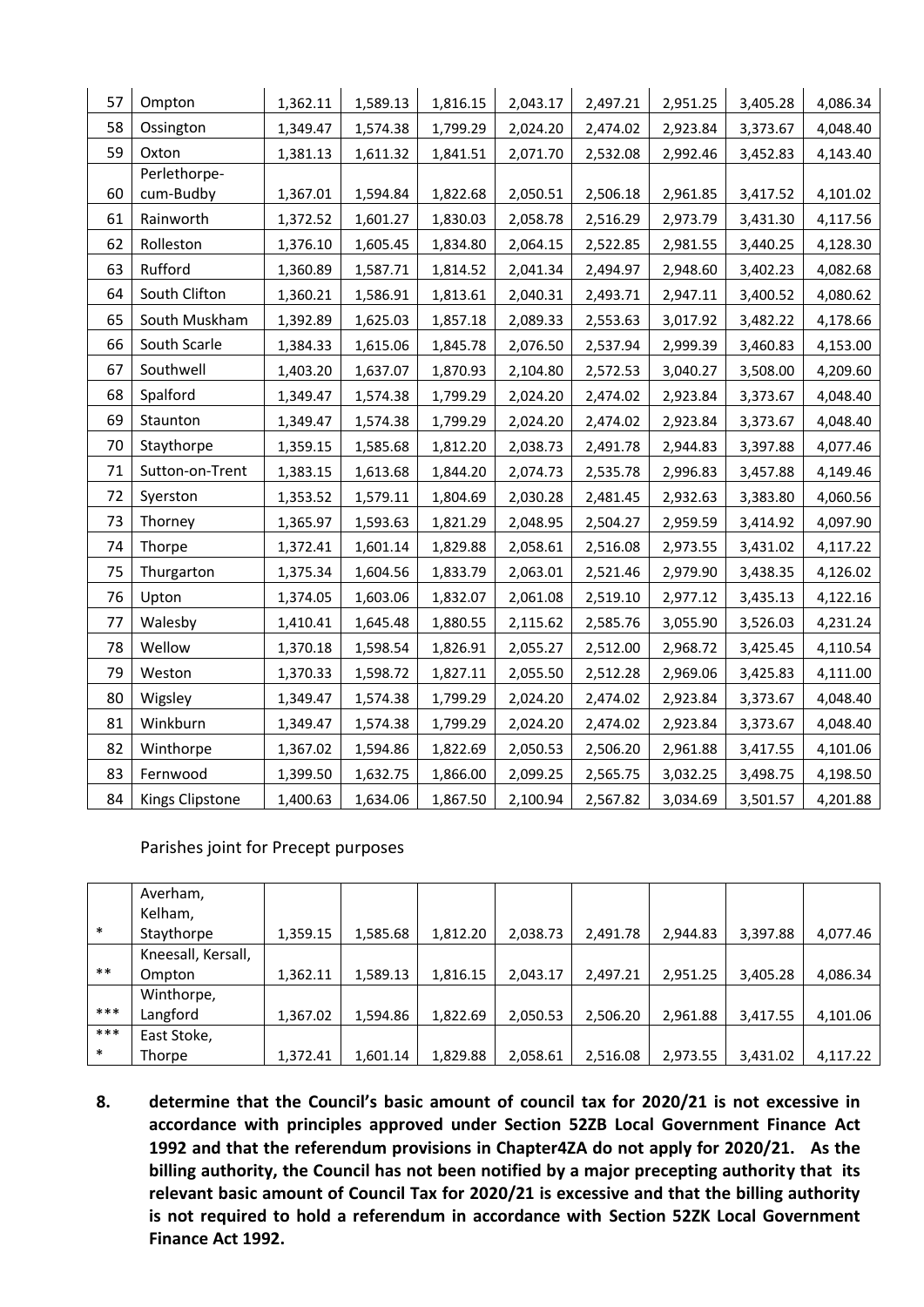| 57 | Ompton          | 1,362.11 | 1,589.13 | 1,816.15 | 2,043.17 | 2,497.21 | 2,951.25 | 3,405.28 | 4,086.34 |
|----|-----------------|----------|----------|----------|----------|----------|----------|----------|----------|
| 58 | Ossington       | 1,349.47 | 1,574.38 | 1,799.29 | 2,024.20 | 2,474.02 | 2,923.84 | 3,373.67 | 4,048.40 |
| 59 | Oxton           | 1,381.13 | 1,611.32 | 1,841.51 | 2,071.70 | 2,532.08 | 2,992.46 | 3,452.83 | 4,143.40 |
|    | Perlethorpe-    |          |          |          |          |          |          |          |          |
| 60 | cum-Budby       | 1,367.01 | 1,594.84 | 1,822.68 | 2,050.51 | 2,506.18 | 2,961.85 | 3,417.52 | 4,101.02 |
| 61 | Rainworth       | 1,372.52 | 1,601.27 | 1,830.03 | 2,058.78 | 2,516.29 | 2,973.79 | 3,431.30 | 4,117.56 |
| 62 | Rolleston       | 1,376.10 | 1,605.45 | 1,834.80 | 2,064.15 | 2,522.85 | 2,981.55 | 3,440.25 | 4,128.30 |
| 63 | Rufford         | 1,360.89 | 1,587.71 | 1,814.52 | 2,041.34 | 2,494.97 | 2,948.60 | 3,402.23 | 4,082.68 |
| 64 | South Clifton   | 1,360.21 | 1,586.91 | 1,813.61 | 2,040.31 | 2,493.71 | 2,947.11 | 3,400.52 | 4,080.62 |
| 65 | South Muskham   | 1,392.89 | 1,625.03 | 1,857.18 | 2,089.33 | 2,553.63 | 3,017.92 | 3,482.22 | 4,178.66 |
| 66 | South Scarle    | 1,384.33 | 1,615.06 | 1,845.78 | 2,076.50 | 2,537.94 | 2,999.39 | 3,460.83 | 4,153.00 |
| 67 | Southwell       | 1,403.20 | 1,637.07 | 1,870.93 | 2,104.80 | 2,572.53 | 3,040.27 | 3,508.00 | 4,209.60 |
| 68 | Spalford        | 1,349.47 | 1,574.38 | 1,799.29 | 2,024.20 | 2,474.02 | 2,923.84 | 3,373.67 | 4,048.40 |
| 69 | Staunton        | 1,349.47 | 1,574.38 | 1,799.29 | 2,024.20 | 2,474.02 | 2,923.84 | 3,373.67 | 4,048.40 |
| 70 | Staythorpe      | 1,359.15 | 1,585.68 | 1,812.20 | 2,038.73 | 2,491.78 | 2,944.83 | 3,397.88 | 4,077.46 |
| 71 | Sutton-on-Trent | 1,383.15 | 1,613.68 | 1,844.20 | 2,074.73 | 2,535.78 | 2,996.83 | 3,457.88 | 4,149.46 |
| 72 | Syerston        | 1,353.52 | 1,579.11 | 1,804.69 | 2,030.28 | 2,481.45 | 2,932.63 | 3,383.80 | 4,060.56 |
| 73 | Thorney         | 1,365.97 | 1,593.63 | 1,821.29 | 2,048.95 | 2,504.27 | 2,959.59 | 3,414.92 | 4,097.90 |
| 74 | Thorpe          | 1,372.41 | 1,601.14 | 1,829.88 | 2,058.61 | 2,516.08 | 2,973.55 | 3,431.02 | 4,117.22 |
| 75 | Thurgarton      | 1,375.34 | 1,604.56 | 1,833.79 | 2,063.01 | 2,521.46 | 2,979.90 | 3,438.35 | 4,126.02 |
| 76 | Upton           | 1,374.05 | 1,603.06 | 1,832.07 | 2,061.08 | 2,519.10 | 2,977.12 | 3,435.13 | 4,122.16 |
| 77 | Walesby         | 1,410.41 | 1,645.48 | 1,880.55 | 2,115.62 | 2,585.76 | 3,055.90 | 3,526.03 | 4,231.24 |
| 78 | Wellow          | 1,370.18 | 1,598.54 | 1,826.91 | 2,055.27 | 2,512.00 | 2,968.72 | 3,425.45 | 4,110.54 |
| 79 | Weston          | 1,370.33 | 1,598.72 | 1,827.11 | 2,055.50 | 2,512.28 | 2,969.06 | 3,425.83 | 4,111.00 |
| 80 | Wigsley         | 1,349.47 | 1,574.38 | 1,799.29 | 2,024.20 | 2,474.02 | 2,923.84 | 3,373.67 | 4,048.40 |
| 81 | Winkburn        | 1,349.47 | 1,574.38 | 1,799.29 | 2,024.20 | 2,474.02 | 2,923.84 | 3,373.67 | 4,048.40 |
| 82 | Winthorpe       | 1,367.02 | 1,594.86 | 1,822.69 | 2,050.53 | 2,506.20 | 2,961.88 | 3,417.55 | 4,101.06 |
| 83 | Fernwood        | 1,399.50 | 1,632.75 | 1,866.00 | 2,099.25 | 2,565.75 | 3,032.25 | 3,498.75 | 4,198.50 |
| 84 | Kings Clipstone | 1,400.63 | 1,634.06 | 1,867.50 | 2,100.94 | 2,567.82 | 3,034.69 | 3,501.57 | 4,201.88 |

Parishes joint for Precept purposes

|        | Averham,<br>Kelham, |          |          |          |          |          |          |          |          |
|--------|---------------------|----------|----------|----------|----------|----------|----------|----------|----------|
| $\ast$ | Staythorpe          | 1,359.15 | 1,585.68 | 1,812.20 | 2,038.73 | 2,491.78 | 2,944.83 | 3,397.88 | 4,077.46 |
|        | Kneesall, Kersall,  |          |          |          |          |          |          |          |          |
| $***$  | Ompton              | 1,362.11 | 1,589.13 | 1,816.15 | 2,043.17 | 2,497.21 | 2,951.25 | 3,405.28 | 4,086.34 |
|        | Winthorpe,          |          |          |          |          |          |          |          |          |
| ***    | Langford            | 1,367.02 | 1,594.86 | 1,822.69 | 2,050.53 | 2,506.20 | 2,961.88 | 3,417.55 | 4,101.06 |
| ***    | East Stoke,         |          |          |          |          |          |          |          |          |
| $\ast$ | Thorpe              | 1,372.41 | 1,601.14 | 1,829.88 | 2,058.61 | 2,516.08 | 2,973.55 | 3,431.02 | 4,117.22 |

**8. determine that the Council's basic amount of council tax for 2020/21 is not excessive in accordance with principles approved under Section 52ZB Local Government Finance Act 1992 and that the referendum provisions in Chapter4ZA do not apply for 2020/21. As the billing authority, the Council has not been notified by a major precepting authority that its relevant basic amount of Council Tax for 2020/21 is excessive and that the billing authority is not required to hold a referendum in accordance with Section 52ZK Local Government Finance Act 1992.**